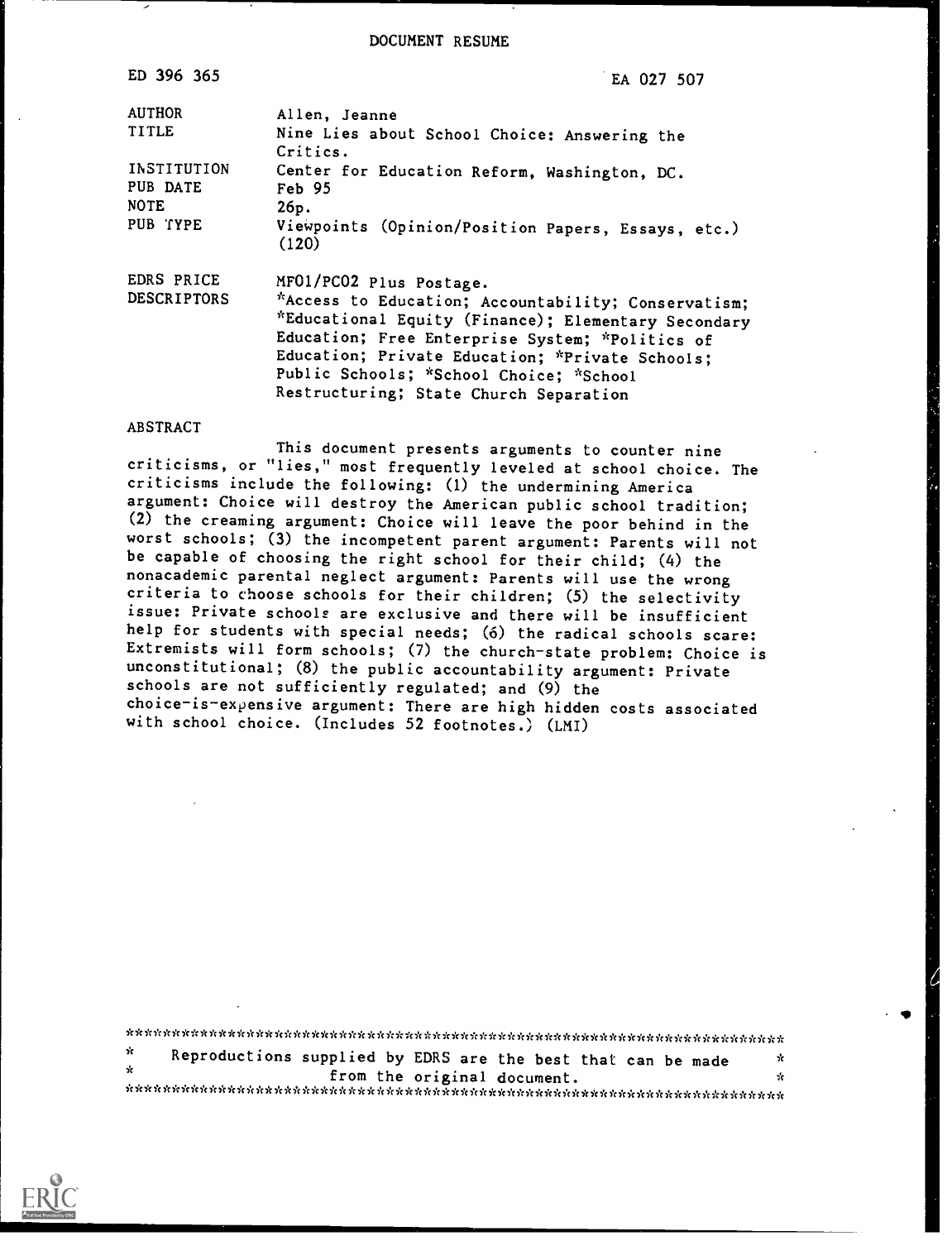DOCUMENT RESUME

| ED 396 365              | EA 027 507                                                                                                                                                                                                                                                                                            |  |  |  |  |  |
|-------------------------|-------------------------------------------------------------------------------------------------------------------------------------------------------------------------------------------------------------------------------------------------------------------------------------------------------|--|--|--|--|--|
| <b>AUTHOR</b>           | Allen, Jeanne                                                                                                                                                                                                                                                                                         |  |  |  |  |  |
| <b>TITLE</b>            | Nine Lies about School Choice: Answering the<br>Critics.                                                                                                                                                                                                                                              |  |  |  |  |  |
| INSTITUTION<br>PUB DATE | Center for Education Reform, Washington, DC.<br>Feb 95                                                                                                                                                                                                                                                |  |  |  |  |  |
| <b>NOTE</b>             | 26p.                                                                                                                                                                                                                                                                                                  |  |  |  |  |  |
| PUB TYPE                | Viewpoints (Opinion/Position Papers, Essays, etc.)<br>(120)                                                                                                                                                                                                                                           |  |  |  |  |  |
| EDRS PRICE              | MF01/PC02 Plus Postage.                                                                                                                                                                                                                                                                               |  |  |  |  |  |
| <b>DESCRIPTORS</b>      | *Access to Education; Accountability; Conservatism;<br>*Educational Equity (Finance); Elementary Secondary<br>Education; Free Enterprise System; *Politics of<br>Education; Private Education; *Private Schools;<br>Public Schools; *School Choice; *School<br>Restructuring; State Church Separation |  |  |  |  |  |

#### ABSTRACT

This document presents arguments to counter nine criticisms, or "lies," most frequently leveled at school choice. The criticisms include the following: (1) the undermining America argument: Choice will destroy the American public school tradition; (2) the creaming argument: Choice will leave the poor behind in the worst schools; (3) the incompetent parent argument: Parents will not be capable of choosing the right school for their child; (4) the nonacademic parental neglect argument: Parents will use the wrong criteria to choose schools for their children; (5) the selectivity issue: Private schools are exclusive and there will be insufficient help for students with special needs; (6) the radical schools scare: Extremists will form schools; (7) the church-state problem: Choice is unconstitutional; (8) the public accountability argument: Private schools are not sufficiently regulated; and (9) the choice-is-expensive argument: There are high hidden costs associated with school choice. (Includes 52 footnotes.) (LMI)

| - Se | Reproductions supplied by EDRS are the best that can be made |                             |  |  |  | Y. |
|------|--------------------------------------------------------------|-----------------------------|--|--|--|----|
| - St |                                                              | from the original document. |  |  |  | Y. |
|      |                                                              |                             |  |  |  |    |

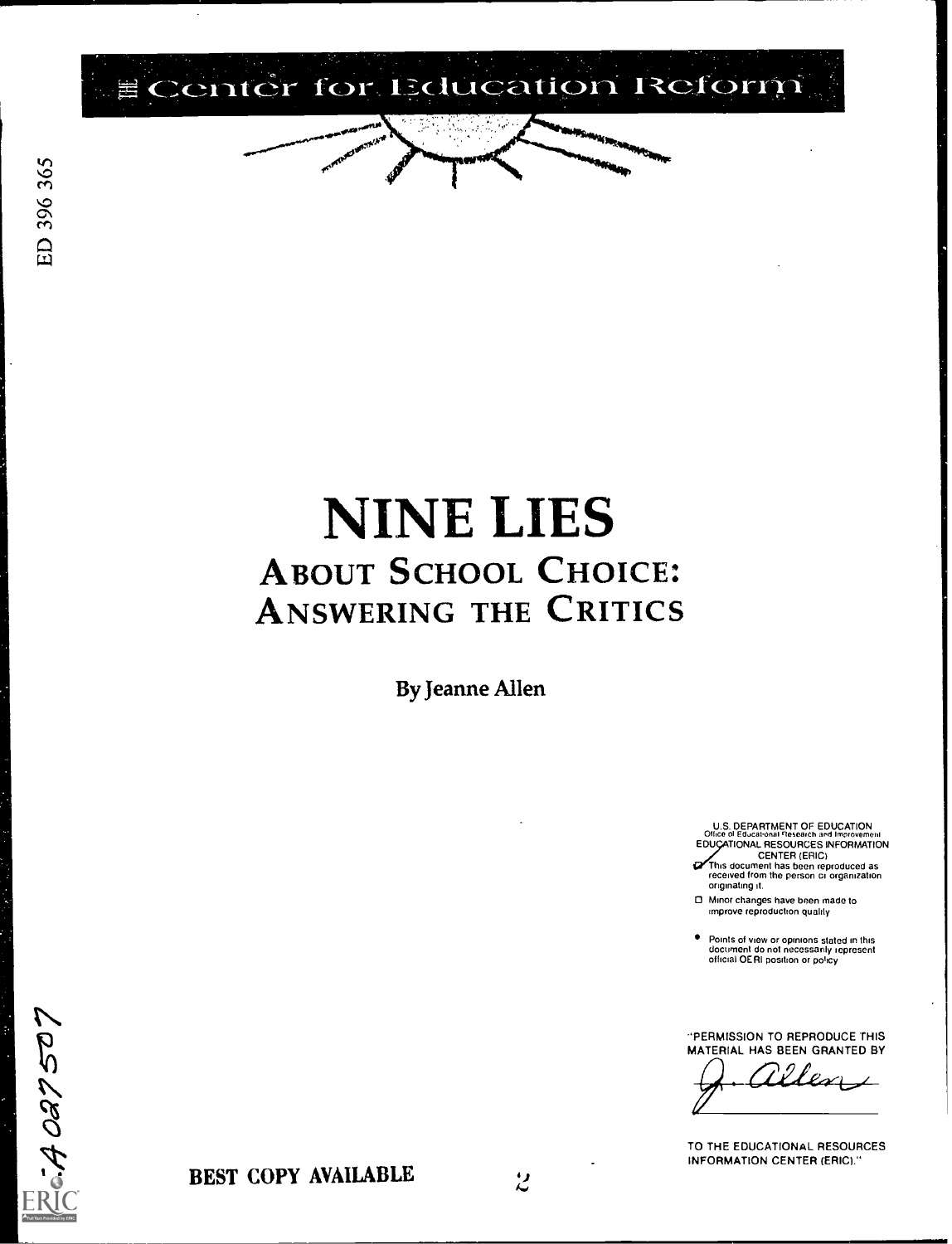

# NINE LIES ABOUT SCHOOL CHOICE: ANSWERING THE CRITICS

By Jeanne Allen

U.S. DEPARTMENT OF EDUCATION<br>Office of Equational nesearch ard Improvement<br>EDUCATIONAL RESOURCES INFORMATION CENTER (ERIC)

This document has been reproduced as received from the person ci organization originating it.

0 Minor changes have been made to improve reproduction quality

Points of view or opinions stated in this document do not necessarily iepresent official OERI position or policy

"PERMISSION TO REPRODUCE THIS MATERIAL HAS BEEN GRANTED BY

TO THE EDUCATIONAL RESOURCES INFORMATION CENTER (ERIC)."

LIC<br>
BEST COPY AVAILABLE<br>
EXIC<br>
BEST COPY AVAILABLE<br>
2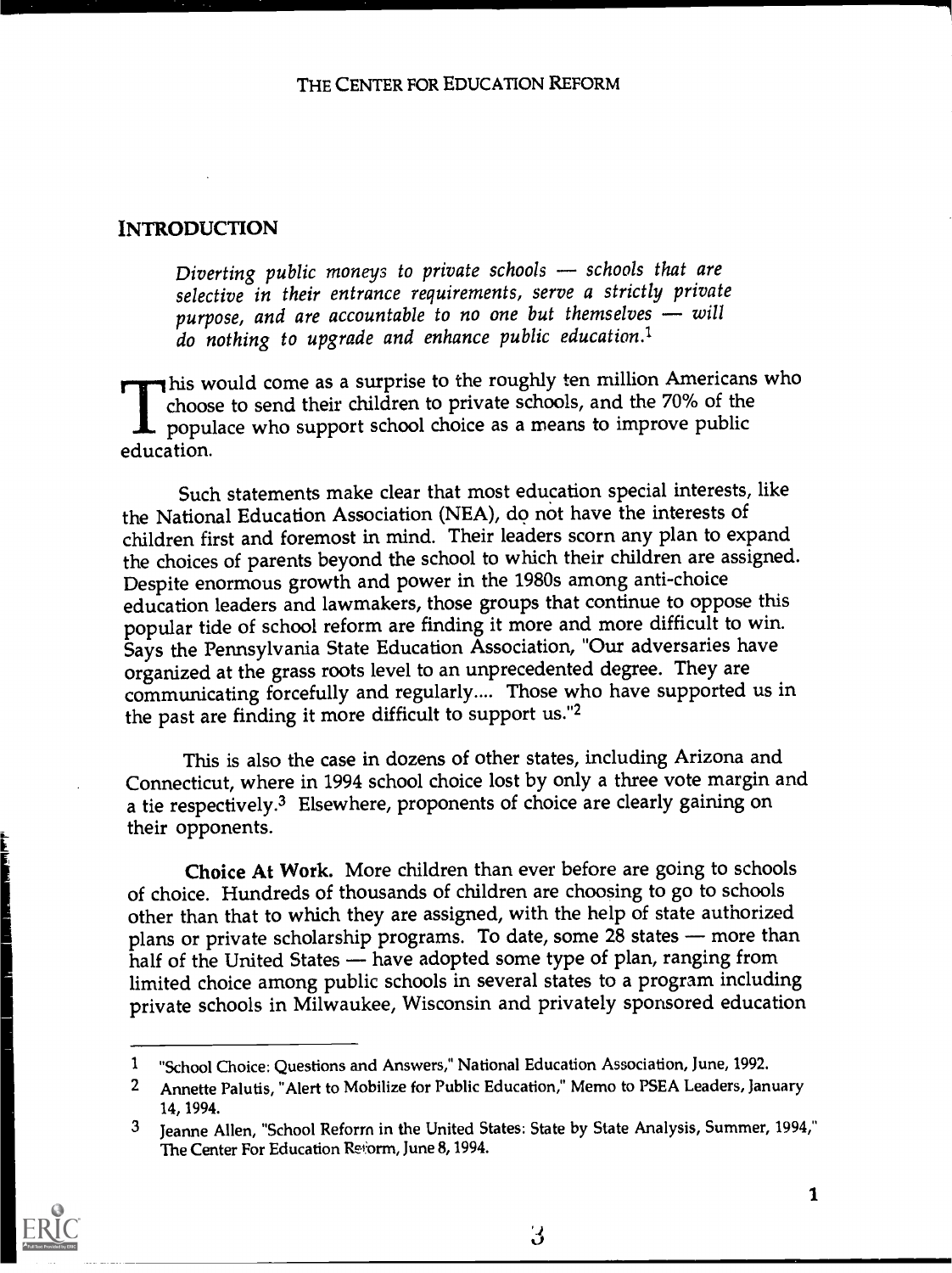#### INTRODUCTION

Diverting public moneys to private schools  $-$  schools that are selective in their entrance requirements, serve a strictly private purpose, and are accountable to no one but themselves  $-$  will do nothing to upgrade and enhance public education.1

TThis would come as a surprise to the roughly ten million Americans who choose to send their children to private schools, and the 70% of the **L** populace who support school choice as a means to improve public education.

Such statements make clear that most education special interests, like the National Education Association (NEA), do not have the interests of children first and foremost in mind. Their leaders scorn any plan to expand the choices of parents beyond the school to which their children are assigned. Despite enormous growth and power in the 1980s among anti-choice education leaders and lawmakers, those groups that continue to oppose this popular tide of school reform are finding it more and more difficult to win. Says the Pennsylvania State Education Association, "Our adversaries have organized at the grass roots level to an unprecedented degree. They are communicating forcefully and regularly.... Those who have supported us in the past are finding it more difficult to support us."2

This is also the case in dozens of other states, including Arizona and Connecticut, where in 1994 school choice lost by only a three vote margin and a tie respectively.3 Elsewhere, proponents of choice are clearly gaining on their opponents.

Choice At Work. More children than ever before are going to schools of choice. Hundreds of thousands of children are choosing to go to schools other than that to which they are assigned, with the help of state authorized plans or private scholarship programs. To date, some 28 states - more than half of the United States - have adopted some type of plan, ranging from limited choice among public schools in several states to a program including private schools in Milwaukee, Wisconsin and privately sponsored education

<sup>3</sup> Jeanne Allen, "School Reform in the United States: State by State Analysis, Summer, 1994," The Center For Education Reform, June 8, 1994.



<sup>1</sup> "School Choice: Questions and Answers," National Education Association, June, 1992.

<sup>2</sup> Annette Palutis, "Alert to Mobilize for Public Education," Memo to PSEA Leaders, January 14, 1994.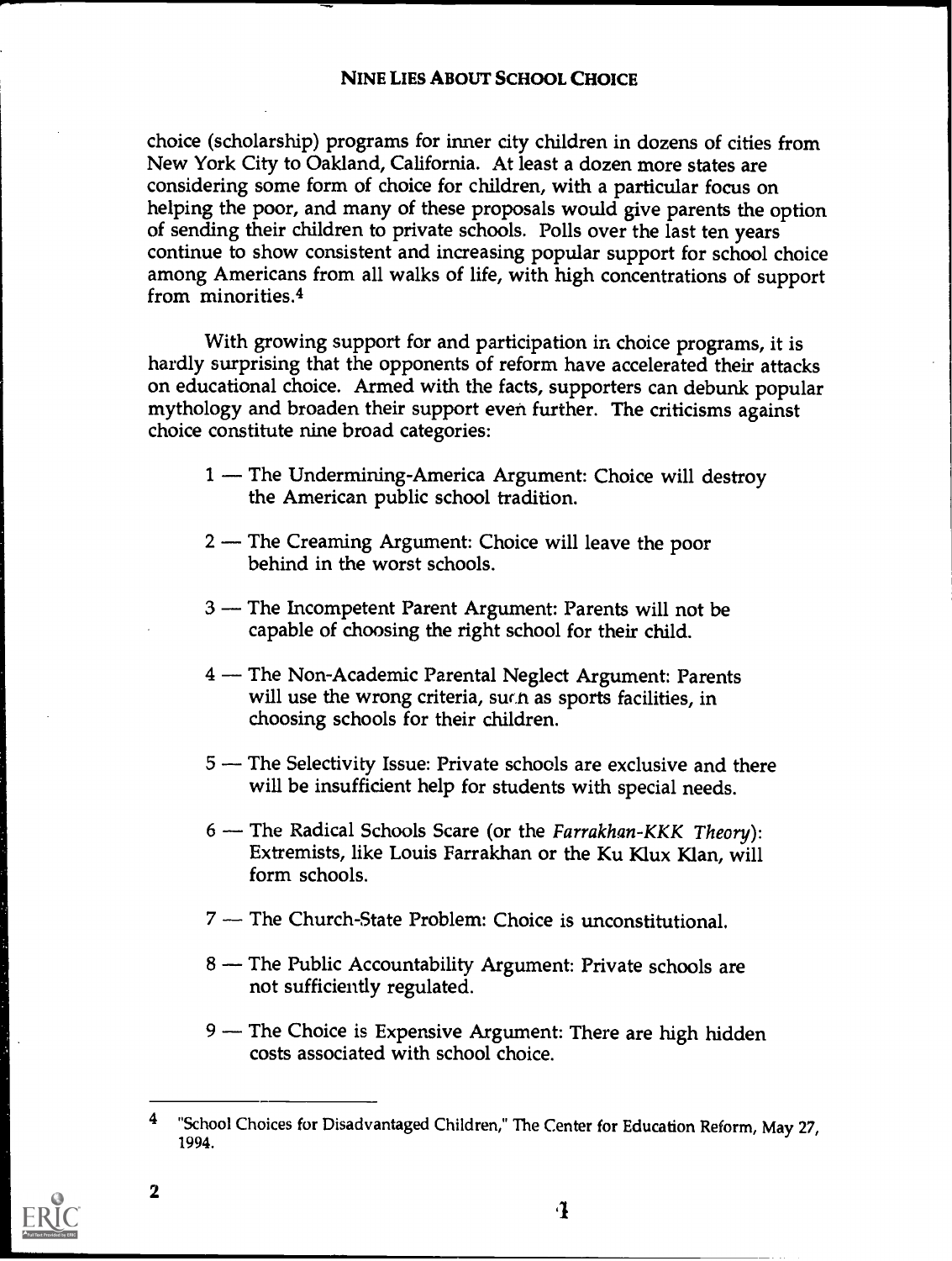choice (scholarship) programs for inner city children in dozens of cities from New York City to Oakland, California. At least a dozen more states are considering some form of choice for children, with a particular focus on helping the poor, and many of these proposals would give parents the option of sending their children to private schools. Polls over the last ten years continue to show consistent and increasing popular support for school choice among Americans from all walks of life, with high concentrations of support from minorities.4

With growing support for and participation in choice programs, it is hardly surprising that the opponents of reform have accelerated their attacks on educational choice. Armed with the facts, supporters can debunk popular mythology and broaden their support even further. The criticisms against choice constitute nine broad categories:

- 1 The Undermining-America Argument: Choice will destroy the American public school tradition.
- 2 The Creaming Argument: Choice will leave the poor behind in the worst schools.
- 3 The Incompetent Parent Argument: Parents will not be capable of choosing the right school for their child.
- 4 The Non-Academic Parental Neglect Argument: Parents will use the wrong criteria, such as sports facilities, in choosing schools for their children.
- 5 The Selectivity Issue: Private schools are exclusive and there will be insufficient help for students with special needs.
- $6$  The Radical Schools Scare (or the Farrakhan-KKK Theory): Extremists, like Louis Farrakhan or the Ku Klux Klan, will form schools.
- 7 The Church-State Problem: Choice is unconstitutional.
- 8 The Public Accountability Argument: Private schools are not sufficiently regulated.
- 9 The Choice is Expensive Argument: There are high hidden costs associated with school choice.

2

 $\cdot$  1

<sup>4</sup> "School Choices for Disadvantaged Children," The Center for Education Reform, May 27, 1994.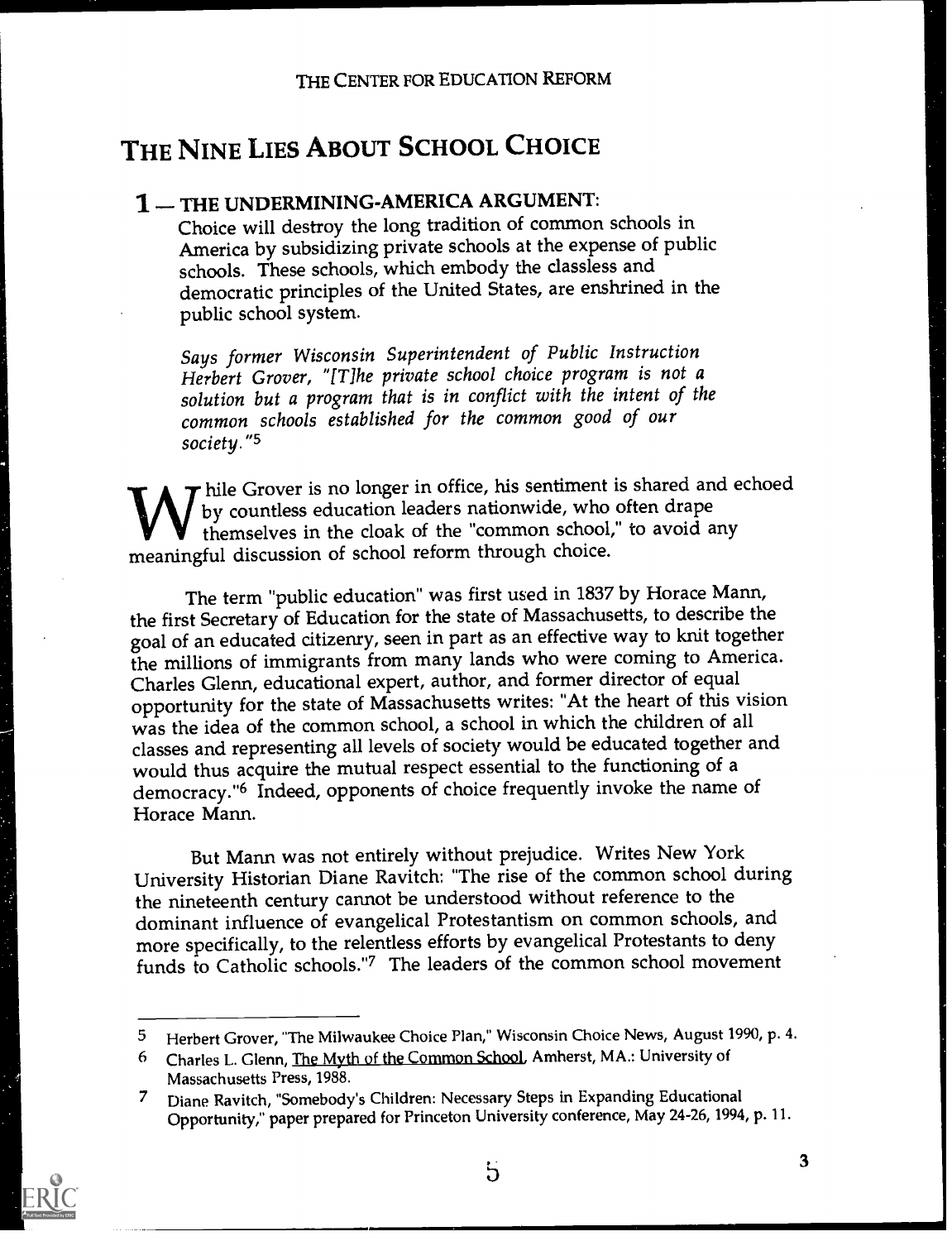# 1 - THE UNDERMINING-AMERICA ARGUMENT:

Choice will destroy the long tradition of common schools in America by subsidizing private schools at the expense of public schools. These schools, which embody the classless and democratic principles of the United States, are enshrined in the public school system.

Says former Wisconsin Superintendent of Public Instruction Herbert Grover, "[T]he private school choice program is not a solution but a program that is in conflict with the intent of the common schools established for the common good of our society. "5

W by countless education leaders nationwide, who often drape<br>themselves in the cloak of the "common school," to avoid any<br>experience of school reform through choice  $\boldsymbol{\tau}$  hile Grover is no longer in office, his sentiment is shared and echoed by countless education leaders nationwide, who often drape meaningful discussion of school reform through choice.

The term "public education" was first used in 1837 by Horace Mann, the first Secretary of Education for the state of Massachusetts, to describe the goal of an educated citizenry, seen in part as an effective way to knit together the millions of immigrants from many lands who were coming to America. Charles Glenn, educational expert, author, and former director of equal opportunity for the state of Massachusetts writes: "At the heart of this vision was the idea of the common school, a school in which the children of all classes and representing all levels of society would be educated together and would thus acquire the mutual respect essential to the functioning of a democracy."6 Indeed, opponents of choice frequently invoke the name of Horace Mann.

But Mann was not entirely without prejudice. Writes New York University Historian Diane Ravitch: "The rise of the common school during the nineteenth century cannot be understood without reference to the dominant influence of evangelical Protestantism on common schools, and more specifically, to the relentless efforts by evangelical Protestants to deny funds to Catholic schools."7 The leaders of the common school movement



<sup>5</sup> Herbert Grover, "The Milwaukee Choice Plan," Wisconsin Choice News, August 1990, p. 4.

<sup>6</sup> Charles L. Glenn, The Myth of the Common School, Amherst, MA.: University of Massachusetts Press, 1988.

<sup>7</sup> Diane Ravitch, "Somebody's Children: Necessary Steps in Expanding Educational Opportunity," paper prepared for Princeton University conference, May 24-26, 1994, p. 11.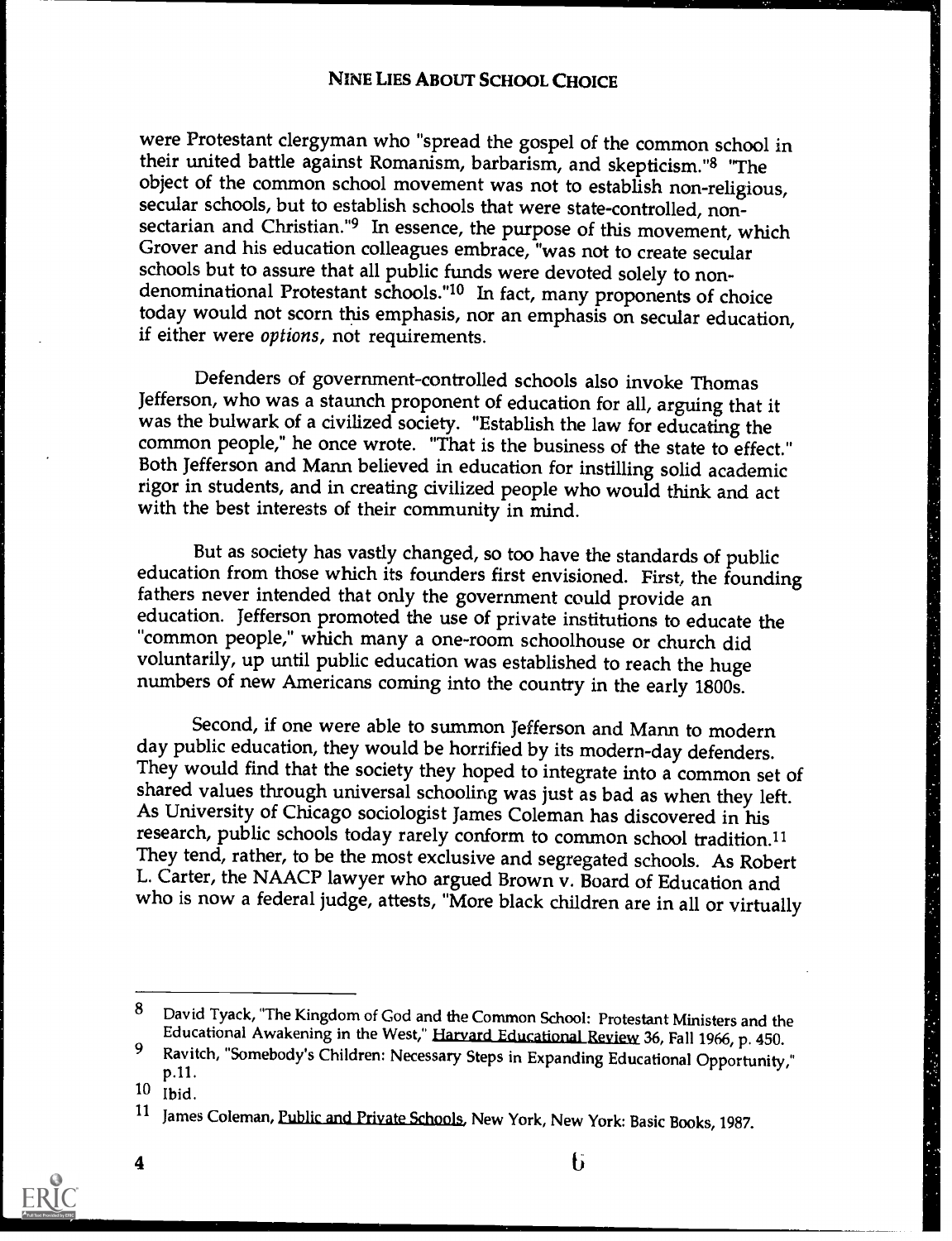were Protestant clergyman who "spread the gospel of the common school in their united battle against Romanism, barbarism, and skepticism."8 "The object of the common school movement was not to establish non-religious, secular schools, but to establish schools that were state-controlled, nonsectarian and Christian."<sup>9</sup> In essence, the purpose of this movement, which Grover and his education colleagues embrace, "was not to create secular schools but to assure that all public funds were devoted solely to nondenominational Protestant schools."<sup>10</sup> In fact, many proponents of choice today would not scorn this emphasis, nor an emphasis on secular education, if either were options, not requirements.

Defenders of government-controlled schools also invoke Thomas<br>Jefferson, who was a staunch proponent of education for all, arguing that it was the bulwark of a civilized society. "Establish the law for educating the common people," he once wrote. 'That is the business of the state to effect." Both Jefferson and Mann believed in education for instilling solid academic rigor in students, and in creating civilized people who would think and act with the best interests of their community in mind.

But as society has vastly changed, so too have the standards of public education from those which its founders first envisioned. First, the founding fathers never intended that only the government could provide an education. Jefferson promoted the use of private institutions to educate the "common people," which many a one-room schoolhouse or church did<br>voluntarily, up until public education was established to reach the huge numbers of new Americans coming into the country in the early 1800s.

Second, if one were able to summon Jefferson and Mann to modern day public education, they would be horrified by its modern-day defenders. They would find that the society they hoped to integrate into a common set of shared values through universal schooling was just as bad as when they left.<br>As University of Chicago sociologist James Coleman has discovered i research, public schools today rarely conform to common school tradition.<sup>11</sup><br>They tend, rather, to be the most exclusive and segregated schools. As Robert L. Carter, the NAACP lawyer who argued Brown v. Board of Education and who is now a federal judge, attests, "More black children are in all or virtually

<sup>11</sup> James Coleman, Fublic and Private Schools, New York, NewYork: Basic Books, 1987.



**FRIC** 

<sup>8</sup> David Tyack, "The Kingdom of God and the Common School: Protestant Ministers and the Educational Awakening in the West," Barvard Educational Review 36, Fall 1966, p. 450.

<sup>9</sup> Ravitch, "Somebody's Children: Necessary Steps in Expanding Educational Opportunity,"<br>p.11.

 $10$   $i$ bid.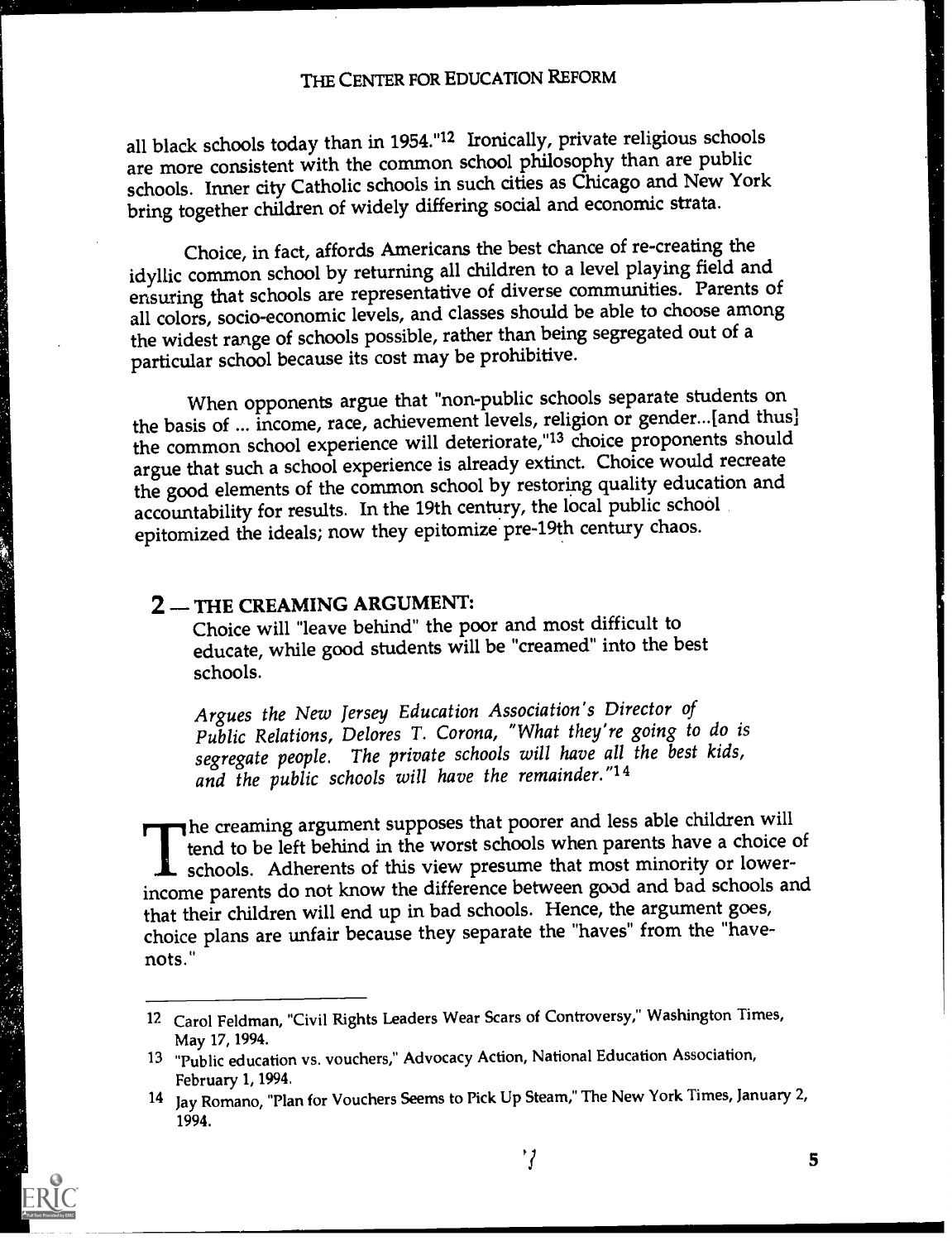all black schools today than in 1954."12 Ironically, private religious schools are more consistent with the common school philosophy than are public schools. Inner city Catholic schools in such cities as Chicago and New York bring together children of widely differing social and economic strata.

Choice, in fact, affords Americans the best chance of re-creating the idyllic common school by returning all children to a level playing field and ensuring that schools are representative of diverse communities. Parents of all colors, socio-economic levels, and classes should be able to choose among the widest range of schools possible, rather than being segregated out of a particular school because its cost may be prohibitive.

When opponents argue that "non-public schools separate students on the basis of ... income, race, achievement levels, religion or gender...[and thus] the common school experience will deteriorate,"13 choice proponents should argue that such a school experience is already extinct. Choice would recreate the good elements of the common school by restoring quality education and accountability for results. In the 19th century, the local public school epitomized the ideals; now they epitomize pre-19th century chaos.

#### 2 - THE CREAMING ARGUMENT:

Choice will "leave behind" the poor and most difficult to educate, while good students will be "creamed" into the best schools.

Argues the New Jersey Education Association's Director of Public Relations, Delores T. Corona, "What they're going to do is segregate people. The private schools will have all the best kids, and the public schools will have the remainder."14

The creaming argument supposes that poorer and less able children will tend to be left behind in the worst schools when parents have a choice of schools. Adherents of this view presume that most minority or lowerincome parents do not know the difference between good and bad schools and that their children will end up in bad schools. Hence, the argument goes, choice plans are unfair because they separate the "haves" from the "havenots."



<sup>12</sup> Carol Feldman, "Civil Rights Leaders Wear Scars of Controversy," Washington Times, May 17, 1994.

<sup>13 &</sup>quot;Public education vs. vouchers," Advocacy Action, National Education Association, February 1, 1994.

<sup>14</sup> Jay Romano, "Plan for Vouchers Seems to Pick Up Steam," The New York Times, January 2, 1994.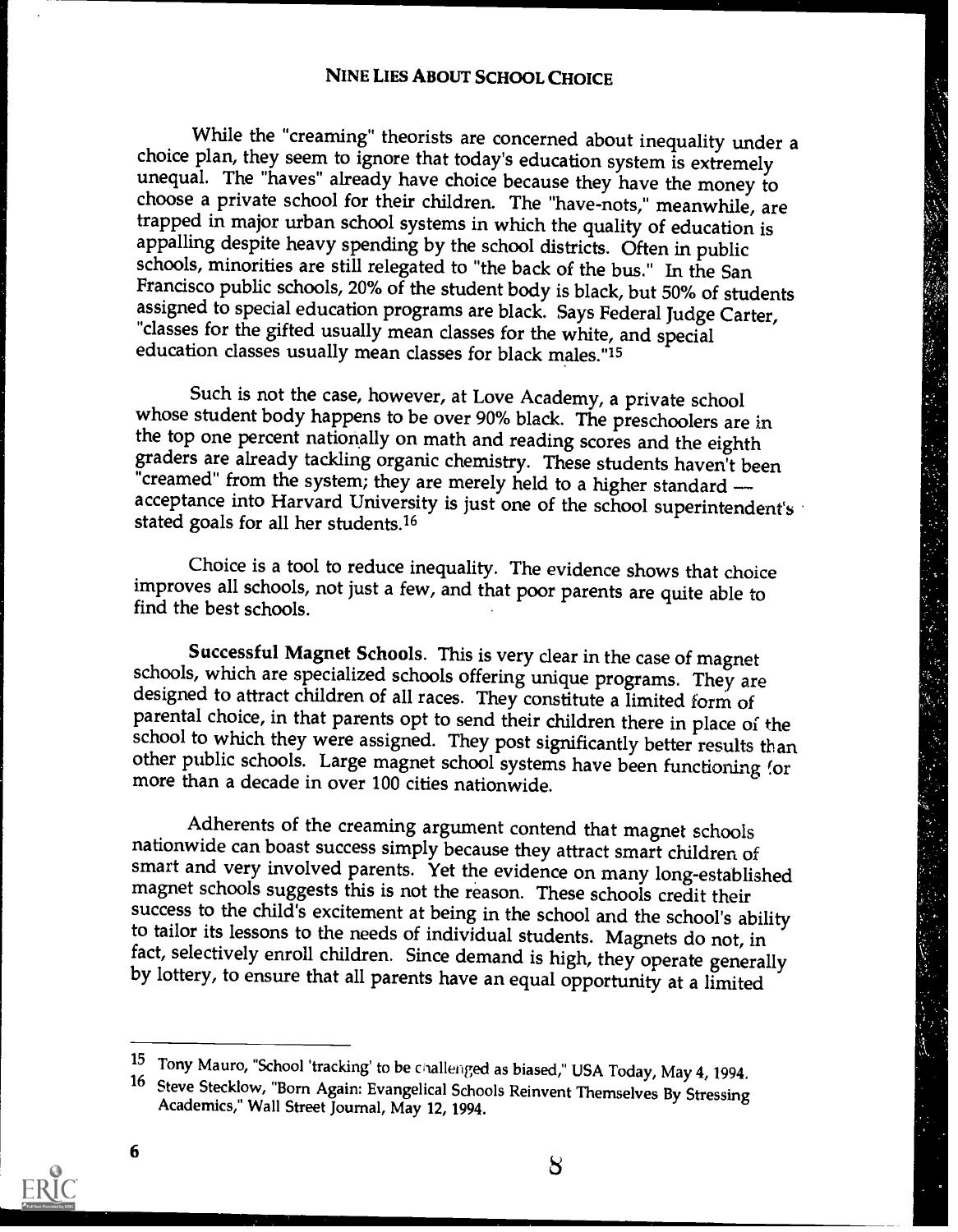While the "creaming" theorists are concerned about inequality under a choice plan, they seem to ignore that today's education system is extremely unequal. The "haves" already have choice because they have the money to choose a private school for their children. The "have-nots," meanwhile, are appalling despite heavy spending by the school districts. Often in public schools, minorities are still relegated to "the back of the bus." In the San assigned to special education programs are black. Says Federal Judge Carter, "classes for the gifted usually mean classes for the white, and special education classes usually mean classes for black males."15

Such is not the case, however, at Love Academy, a private school whose student body happens to be over 90% black. The preschoolers are in the top one percent nationally on math and reading scores and the eighth graders are already tackling organic chemistry. These students haven't been "creamed" from the system; they are merely held to a higher standard acceptance into Harvard University is just one of the school superintendent's stated goals for all her students.16

Choice is a tool to reduce inequality. The evidence shows that choice improves all schools, not just a few, and that poor parents are quite able to find the best schools.

Successful Magnet Schools. This is very clear in the case of magnet schools, which are specialized schools offering unique programs. They are designed to attract children of all races. They constitute a limited form of parental choice, in that parents opt to send their children there in place of the school to which they were assigned. They post significantly better results than other public schools. Large magnet school systems have been functioning for more than a decade in over 100 cities nationwide.

Adherents of the creaming argument contend that magnet schools<br>nationwide can boast success simply because they attract smart children of<br>smart and very involved parents. Yet the evidence on many long-established<br>magnet sc success to the child's excitement at being in the school and the school's ability to tailor its lessons to the needs of individual students. Magnets do not, in fact, selectively enroll children. Since demand is high, they operate generally by lottery, to ensure that all parents have an equal opportunity at a limited

6

ERIC

<sup>15</sup> Tony Mauro, "School 'tracking' to be cinallenged as biased," USA Today, May 4, 1994.<br>16 Steve Stecklow, "Born Again: Evangelical Schools Reinvent Themselves By Stressing Academics," Wall Street Journal, May 12, 1994.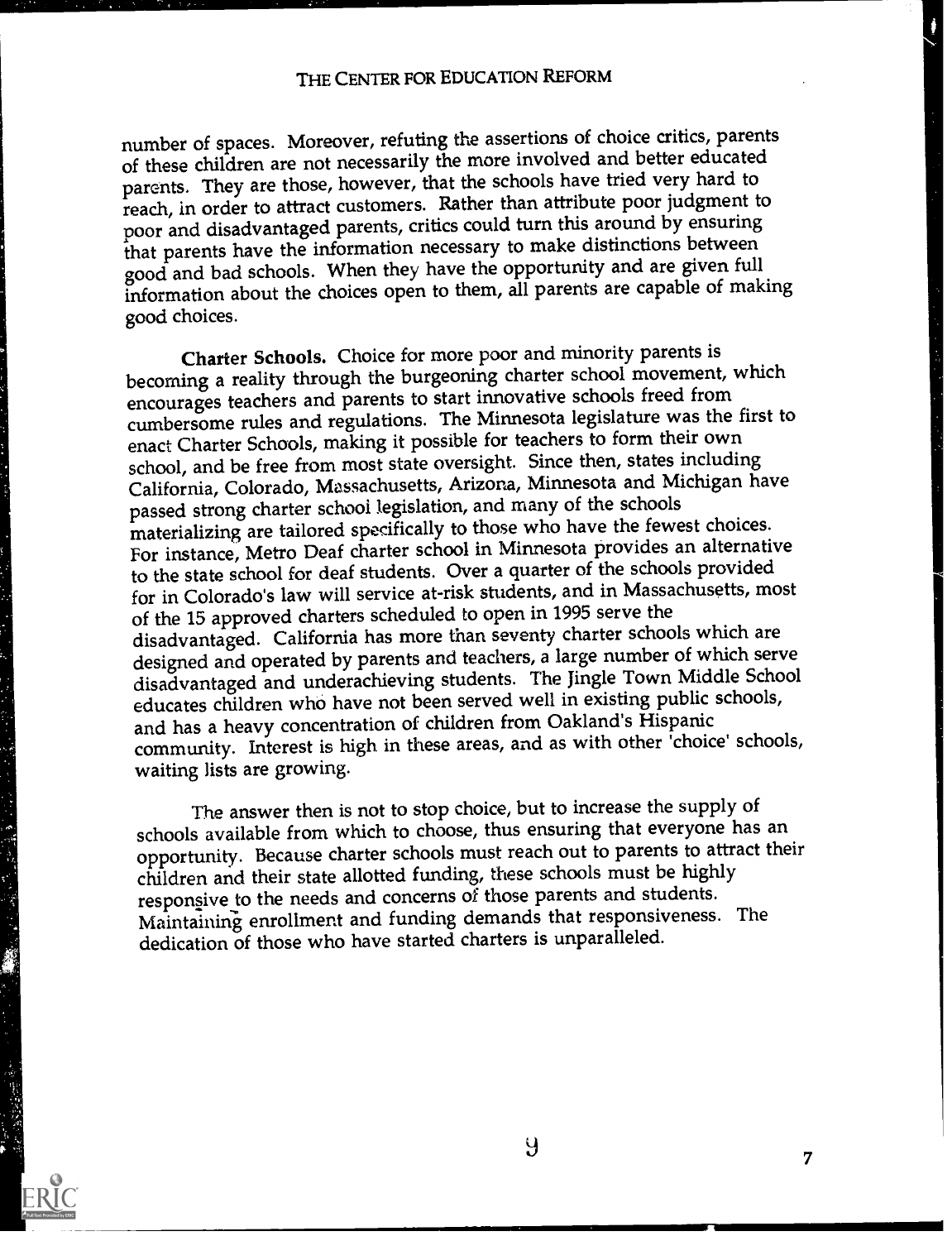number of spaces. Moreover, refuting the assertions of choice critics, parents of these children are not necessarily the more involved and better educated parents. They are those, however, that the schools have tried very hard to reach, in order to attract customers. Rather than attribute poor judgment to poor and disadvantaged parents, critics could turn this around by ensuring that parents have the information necessary to make distinctions between good and bad schools. When they have the opportunity and are given full information about the choices open to them, all parents are capable of making good choices.

Charter Schools. Choice for more poor and minority parents is becoming a reality through the burgeoning charter school movement, which encourages teachers and parents to start innovative schools freed from cumbersome rules and regulations. The Minnesota legislature was the first to enact Charter Schools, making it possible for teachers to form their own school, and be free from most state oversight. Since then, states including California, Colorado, Massachusetts, Arizona, Minnesota and Michigan have passed strong charter schooi legislation, and many of the schools materializing are tailored specifically to those who have the fewest choices. For instance, Metro Deaf charter school in Minnesota provides an alternative to the state school for deaf students. Over a quarter of the schools provided for in Colorado's law will service at-risk students, and in Massachusetts, most of the 15 approved charters scheduled to open in 1995 serve the disadvantaged. California has more than seventy charter schools which are designed and operated by parents and teachers, a large number of which serve disadvantaged and underachieving students. The jingle Town Middle School educates children who have not been served well in existing public schools, and has a heavy concentration of children from Oakland's Hispanic community. Interest is high in these areas, and as with other 'choice' schools, waiting lists are growing.

The answer then is not to stop choice, but to increase the supply of schools available from which to choose, thus ensuring that everyone has an opportunity. Because charter schools must reach out to parents to attract their children and their state allotted funding, these schools must be highly responsive to the needs and concerns of those parents and students. Maintaining enrollment and funding demands that responsiveness. The dedication of those who have started charters is unparalleled.

9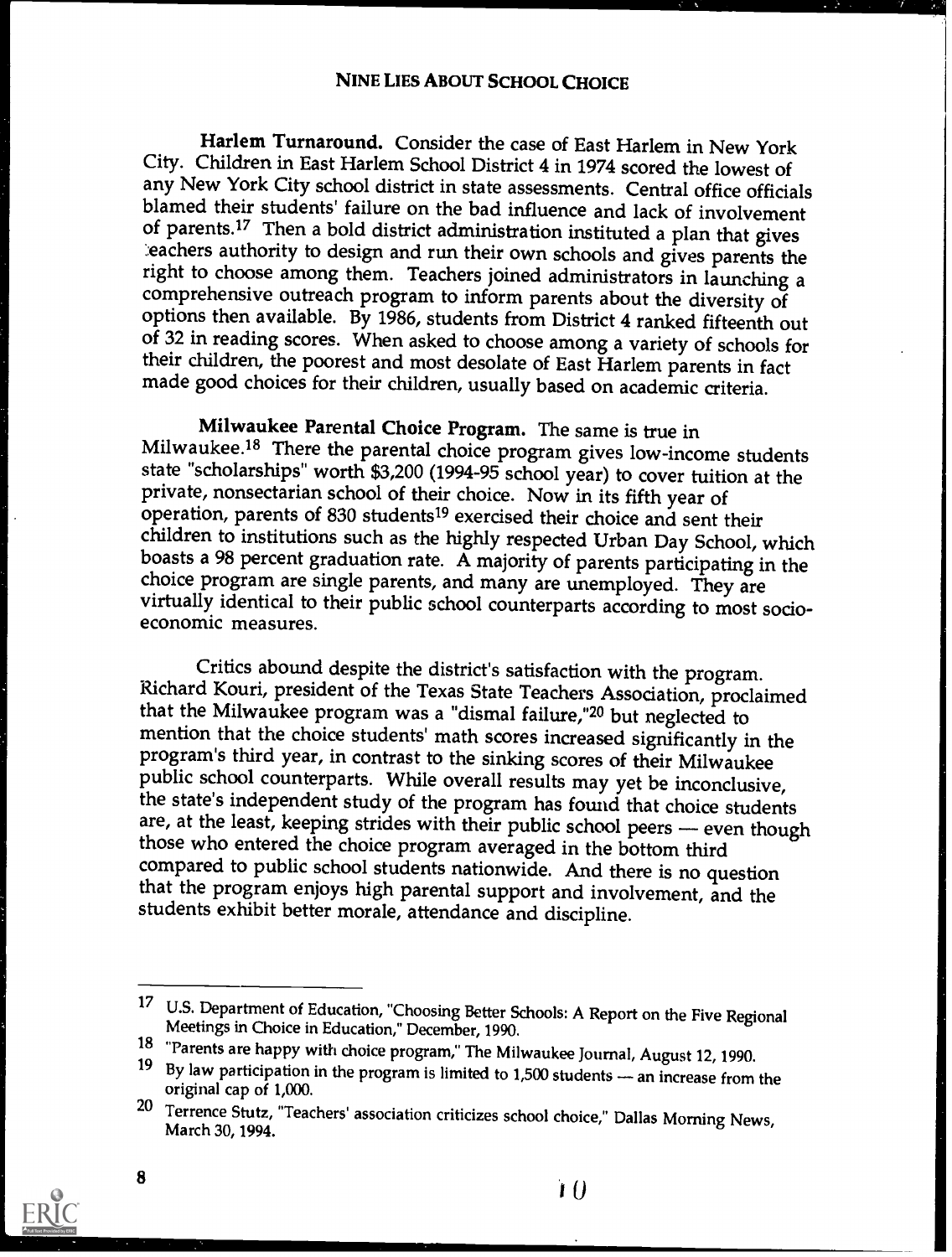Harlem Turnaround. Consider the case of East Harlem in New York City. Children in East Harlem School District 4 in 1974 scored the lowest of any New York City school district in state assessments. Central office officials blamed their students' failure on the bad influence and lack of involvement of parents.17 Then a bold district administration instituted a plan that gives :eachers authority to design and run their own schools and gives parents the right to choose among them. Teachers joined administrators in launching a comprehensive outreach program to inform parents about the diversity of options then available. By 1986, students from District 4 ranked fifteenth out of 32 in reading scores. When asked to choose among a variety of schools for their children, the poorest and most desolate of East Harlem parents in fact made good choices for their children, usually based on academic criteria.

Milwaukee Parental Choice Program. The same is true in Milwaukee.18 There the parental choice program gives low-income students state "scholarships" worth \$3,200 (1994-95 school year) to cover tuition at the private, nonsectarian school of their choice. Now in its fifth year of operation, parents of 830 students<sup>19</sup> exercised their choice and sent their children to institutions such as the highly respected Urban Day School, which boasts a 98 percent graduation rate. A majority of parents participating in the choice program are single parents, and many are unemployed. They are virtually identical to their public school counterparts according to most socio-<br>economic measures.

Critics abound despite the district's satisfaction with the program.<br>Richard Kouri, president of the Texas State Teachers Association, proclaimed<br>that the Milwaukee program was a "dismal failure,"<sup>20</sup> but neglected to mention that the choice students' math scores increased significantly in the program's third year, in contrast to the sinking scores of their Milwaukee public school counterparts. While overall results may yet be inconclus the state's independent study of the program has found that choice students<br>are, at the least, keeping strides with their public school peers — even though those who entered the choice program averaged in the bottom third compared to public school students nationwide. And there is no question that the program enjoys high parental support and involvement, and the students exhibit better morale, attendance and discipline.

**FRIC** 

 $\mathbf{I}(\mathbf{I})$ 

<sup>17</sup> U.S. Department of Education, "Choosing Better Schools: A Report on the Five Regional<br>Meetings in Choice in Education," December, 1990.<br><sup>18</sup> "Parents are happy with choice program," The Milwaukee Journal, August 12, 199

<sup>19</sup> By law participation in the program is limited to 1,500 students  $-$  an increase from the original cap of 1,000.

<sup>20</sup> Terrence Stutz, "Teachers' association criticizes school choice," Dallas Morning News, March 30, 1994.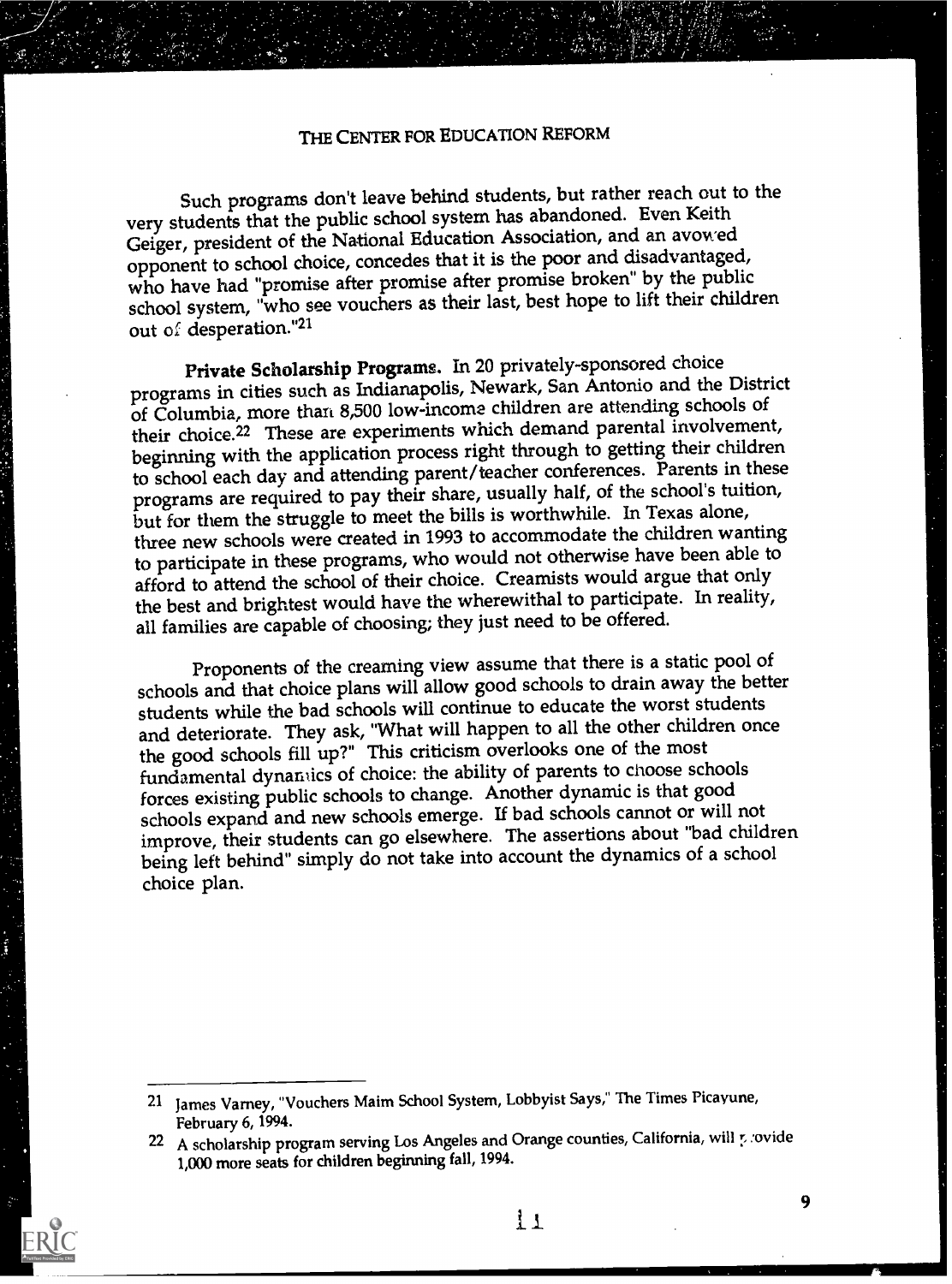Such programs don't leave behind students, but rather reach out to the very students that the public school system has abandoned. Even Keith Geiger, president of the National Education Association, and an avowed opponent to school choice, concedes that it is the poor and disadvantaged, who have had "promise after promise after promise broken" by the public school system, "who see vouchers as their last, best hope to lift their children out of desperation."21

Private Scholarship Programs. In 20 privately-sponsored choice programs in cities such as Indianapolis, Newark, San Antonio and the District of Columbia, more than 8,500 low-income children are attending schools of their choice.22 These are experiments which demand parental involvement, beginning with the application process right through to getting their children to school each day and attending parent/teacher conferences. Parents in these programs are required to pay their share, usually half, of the school's tuition, but for them the struggle to meet the bills is worthwhile. In Texas alone, three new schools were created in 1993 to accommodate the children wanting to participate in these programs, who would not otherwise have been able to afford to attend the school of their choice. Creamists would argue that only the best and brightest would have the wherewithal to participate. In reality, all families are capable of choosing; they just need to be offered.

Proponents of the creaming view assume that there is a static pool of schools and that choice plans will allow good schools to drain away the better students while the bad schools will continue to educate the worst students and deteriorate. They ask, "What will happen to all the other children once the good schools fill up?" This criticism overlooks one of the most fundamental dynamics of choice: the ability of parents to choose schools forces existing public schools to change. Another dynamic is that good schools expand and new schools emerge. If bad schools cannot or will not improve, their students can go elsewhere. The assertions about "bad children being left behind" simply do not take into account the dynamics of a school choice plan.

<sup>21</sup> James Varney, "Vouchers Maim School System, Lobbyist Says," The Times Picayune, February 6, 1994.

<sup>22</sup> A scholarship program serving Los Angeles and Orange counties, California, will geovide 1,000 more seats for children beginning fall, 1994.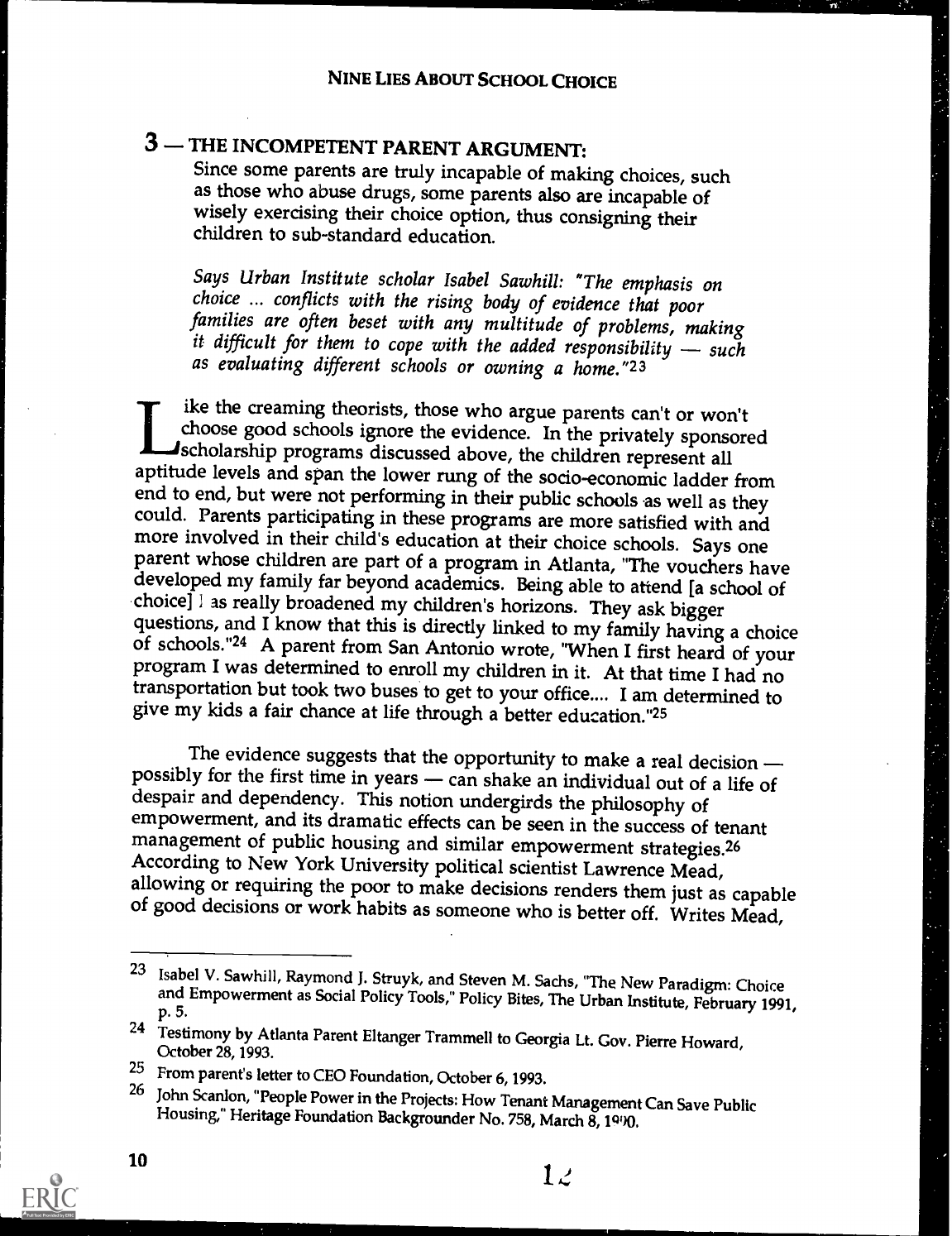# 3 - THE INCOMPETENT PARENT ARGUMENT:

Since some parents are truly incapable of making choices, such as those who abuse drugs, some parents also are incapable of wisely exercising their choice option, thus consigning their<br>children to sub-standard education.

Says Urban Institute scholar Isabel Sawhill: "The emphasis on families are often beset with any multitude of problems, making it difficult for them to cope with the added responsibility  $-$  such as evaluating different schools or owning a home."23

ike the creaming theorists, those who argue parents can't or won't choose good schools ignore the evidence. In the privately sponsored scholarship programs discussed above, the children represent all aptitude levels and span the lower rung of the socio-economic ladder from end to end, but were not performing in their public schools as well as they could. Parents participating in these programs are more satisfied with and more involved in their child's education at their choice schools. Says one<br>parent whose children are part of a program in Atlanta, "The vouchers have<br>developed my family far beyond academics. Being able to attend [a schoo

The evidence suggests that the opportunity to make a real decision — possibly for the first time in years — can shake an individual out of a life of despair and dependency. This notion undergirds the philosophy of empowerment, and its dramatic effects can be seen in the success of tenant management of public housing and similar empowerment strategies.<sup>26</sup> According to New York University political scientist Lawrence Mead,<br>allowing or requiring the poor to make decisions renders them just as capable<br>of good decisions or work habits as someone who is better off. Writes Mead,

<sup>26</sup> John Scanlon, "People Power in the Projects: How Tenant Management Can Save Public Housing," Heritage Foundation Backgrounder No. 758, March 8, 1090.



<sup>&</sup>lt;sup>23</sup> Isabel V. Sawhill, Raymond J. Struyk, and Steven M. Sachs, "The New Paradigm: Choice and Empowerment as Social Policy Tools," Policy Bites, The Urban Institute, February 1991, p. 5.

<sup>&</sup>lt;sup>24</sup> Testimony by Atlanta Parent Eltanger Trammell to Georgia Lt. Gov. Pierre Howard, October 28, 1993.

<sup>25</sup> From parent's letter to CEO Foundation, October 6, 1993.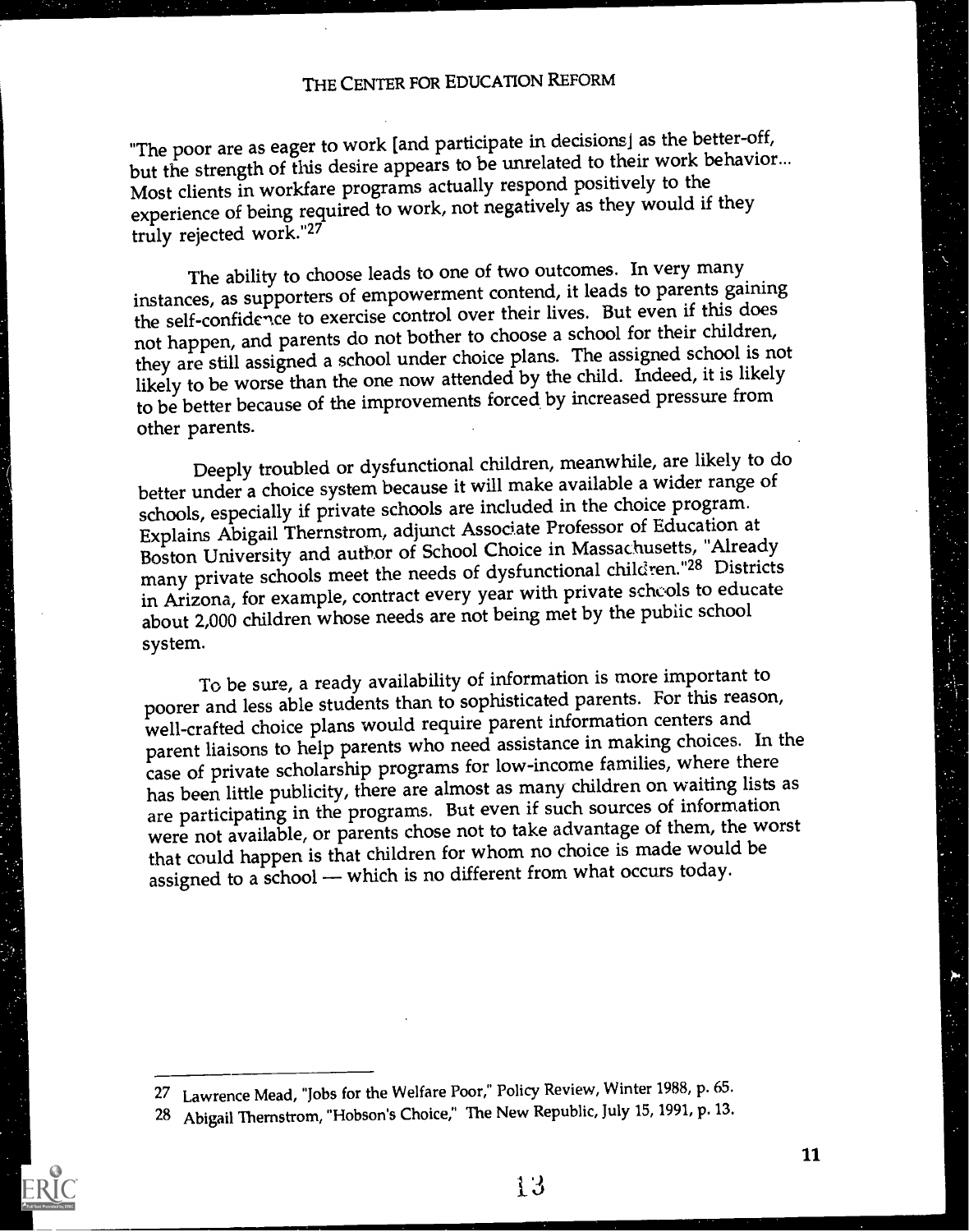"The poor are as eager to work [and participate in decisions] as the better-off, but the strength of this desire appears to be unrelated to their work behavior... Most clients in workfare programs actually respond positively to the experience of being required to work, not negatively as they would if they truly rejected work."27

The ability to choose leads to one of two outcomes. In very many instances, as supporters of empowerment contend, it leads to parents gaining the self-confidence to exercise control over their lives. But even if this does not happen, and parents do not bother to choose a school for their children, they are still assigned a school under choice plans. The assigned school is not likely to be worse than the one now attended by the child. Indeed, it is likely to be better because of the improvements forced by increased pressure from other parents.

Deeply troubled or dysfunctional children, meanwhile, are likely to do better under a choice system because it will make available a wider range of schools, especially if private schools are included in the choice program. Explains Abigail Thernstrom, adjunct Associate Professor of Education at Boston University and author of School Choice in Massachusetts, "Already many private schools meet the needs of dysfunctional children."28 Districts in Arizona, for example, contract every year with private schcols to educate about 2,000 children whose needs are not being met by the pubiic school system.

To be sure, a ready availability of information is more important to poorer and less able students than to sophisticated parents. For this reason, well-crafted choice plans would require parent information centers and parent liaisons to help parents who need assistance in making choices. In the case of private scholarship programs for low-income families, where there has been little publicity, there are almost as many children on waiting lists as are participating in the programs. But even if such sources of information were not available, or parents chose not to take advantage of them, the worst that could happen is that children for whom no choice is made would be assigned to a school  $-$  which is no different from what occurs today.

<sup>27</sup> Lawrence Mead, "Jobs for the Welfare Poor," Policy Review, Winter 1988, p. 65.

<sup>28</sup> Abigail Thernstrom, "Hobson's Choice," The New Republic, July 15, 1991, p. 13.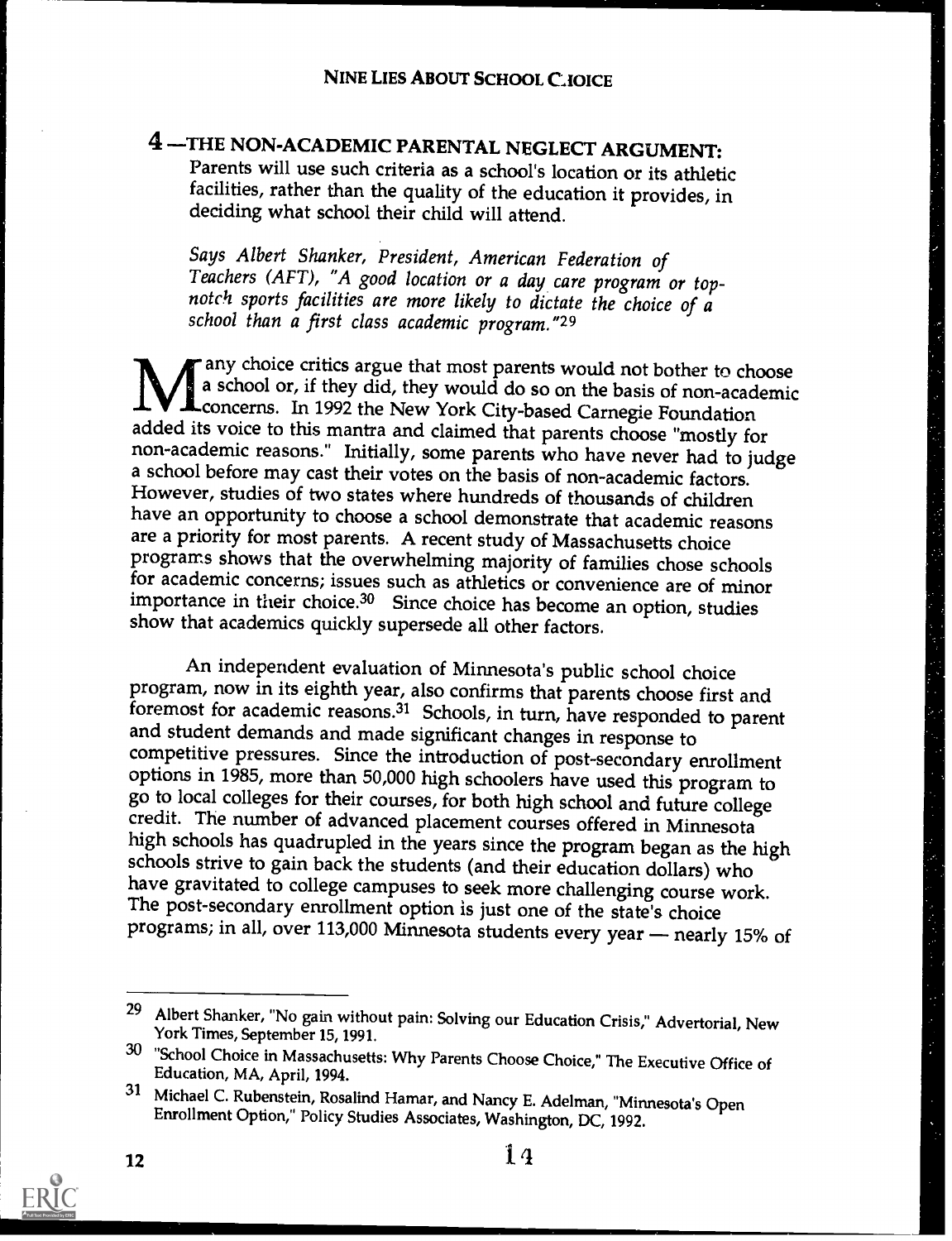# 4 -THE NON-ACADEMIC PARENTAL NEGLECT ARGUMENT: Parents will use such criteria as a school's location or its athletic facilities, rather than the quality of the education it provides, in deciding what school their child will attend.

Says Albert Shanker, President, American Federation of Teachers (AFT), "A good location or a day care program or topnotch sports facilities are more likely to dictate the choice of a school than a first class academic program."29

any choice critics argue that most parents would not bother to choose a school or, if they did, they would do so on the basis of non-academic **LV L** concerns. In 1992 the New York City-based Carnegie Foundation added its voice to this mantra and claimed that parents choose "mostly for non-academic reasons." Initially, some parents who have never had to judge a school before may cast their votes on the basis of non-academic factors. However, studies of two states where hundreds of thousands of children have an opportunity to choose a school demonstrate that academic reasons are a priority for most parents. A recent study of Massachusetts choice programs shows that the overwhelming majority of families chose schools for academic concerns; issues such as athletics or convenience are of minor importance in their choice. $30$  Since choice has become an option, studies show that academics quickly supersede all other factors.

An independent evaluation of Minnesota's public school choice program, now in its eighth year, also confirms that parents choose first and foremost for academic reasons.<sup>31</sup> Schools, in turn, have responded to parent and student demands and made significant changes in response to<br>competitive pressures. Since the introduction of post-secondary enrollment options in 1985, more than 50,000 high schoolers have used this program to go to local colleges for their courses, for both high school and future college credit. The number of advanced placement courses offered in Minnesota high schools has quadrupled in the years since the program began as the high schools strive to gain back the students (and their education dollars) who have gravitated to college campuses to seek more challenging course work.<br>The post-secondary enrollment option is just one of the state's choice programs; in all, over 113,000 Minnesota students every year — nearly 15% of

<sup>31</sup> Michael C. Rubenstein, Rosalind Hamar, and Nancy E. Adelman, "Minnesota's Open Enrollment Option," Policy Studies Associates, Washington, DC, 1992.



ERIC

<sup>29</sup> Albert Shanker, "No gain without pain: Solving our Education Crisis," Advertorial, New York Times, September 15, 1991.

<sup>30 &</sup>quot;School Choice in Massachusetts: Why Parents Choose Choice," The Executive Office of Education, MA, April, 1994.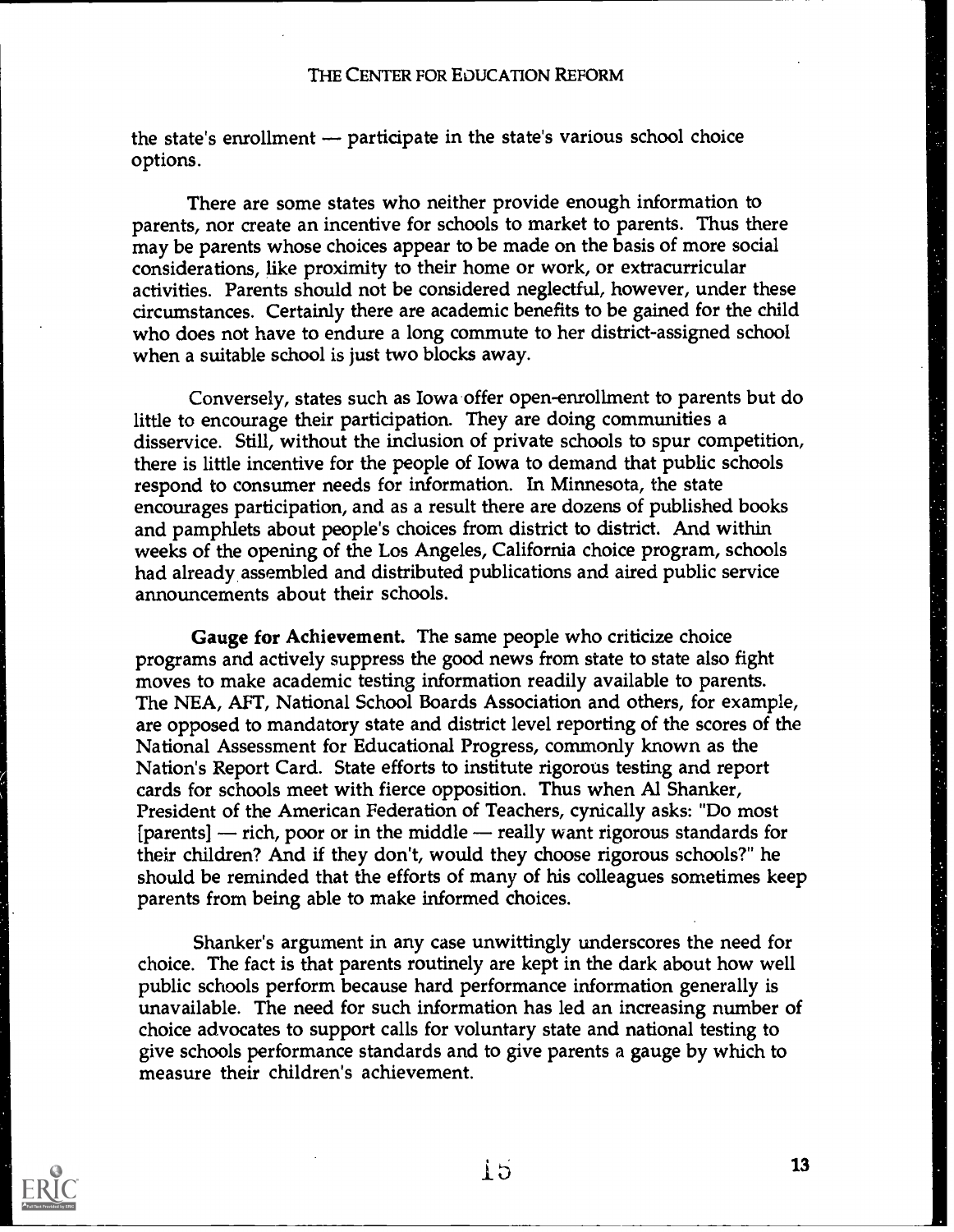the state's enrollment - participate in the state's various school choice options.

There are some states who neither provide enough information to parents, nor create an incentive for schools to market to parents. Thus there may be parents whose choices appear to be made on the basis of more social considerations, like proximity to their home or work, or extracurricular activities. Parents should not be considered neglectful, however, under these circumstances. Certainly there are academic benefits to be gained for the child who does not have to endure a long commute to her district-assigned school when a suitable school is just two blocks away.

Conversely, states such as Iowa offer open-enrollment to parents but do little to encourage their participation. They are doing communities a disservice. Still, without the inclusion of private schools to spur competition, there is little incentive for the people of Iowa to demand that public schools respond to consumer needs for information. In Minnesota, the state encourages participation, and as a result there are dozens of published books and pamphlets about people's choices from district to district. And within weeks of the opening of the Los Angeles, California choice program, schools had already, assembled and distributed publications and aired public service announcements about their schools.

Gauge for Achievement. The same people who criticize choice programs and actively suppress the good news from state to state also fight moves to make academic testing information readily available to parents. The NEA, AFT, National School Boards Association and others, for example, are opposed to mandatory state and district level reporting of the scores of the National Assessment for Educational Progress, commonly known as the Nation's Report Card. State efforts to institute rigorous testing and report cards for schools meet with fierce opposition. Thus when Al Shanker, President of the American Federation of Teachers, cynically asks: "Do most  $[parents]$  - rich, poor or in the middle - really want rigorous standards for their children? And if they don't, would they choose rigorous schools?" he should be reminded that the efforts of many of his colleagues sometimes keep parents from being able to make informed choices.

Shanker's argument in any case unwittingly underscores the need for choice. The fact is that parents routinely are kept in the dark about how well public schools perform because hard performance information generally is unavailable. The need for such information has led an increasing number of choice advocates to support calls for voluntary state and national testing to give schools performance standards and to give parents a gauge by which to measure their children's achievement.

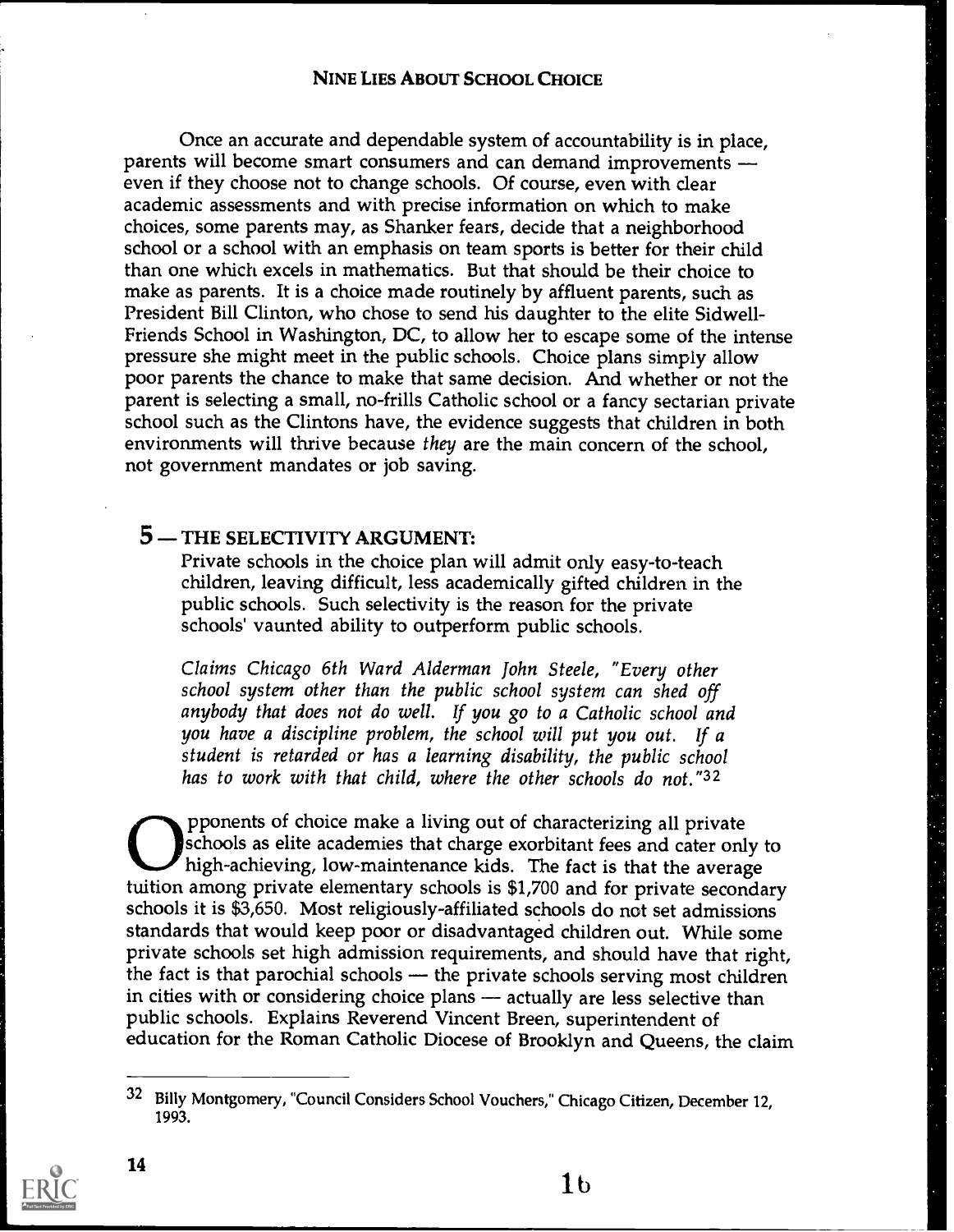Once an accurate and dependable system of accountability is in place, parents will become smart consumers and can demand improvements even if they choose not to change schools. Of course, even with clear academic assessments and with precise information on which to make choices, some parents may, as Shanker fears, decide that a neighborhood school or a school with an emphasis on team sports is better for their child than one which excels in mathematics. But that should be their choice to make as parents. It is a choice made routinely by affluent parents, such as President Bill Clinton, who chose to send his daughter to the elite Sidwell-Friends School in Washington, DC, to allow her to escape some of the intense pressure she might meet in the public schools. Choice plans simply allow poor parents the chance to make that same decision. And whether or not the parent is selecting a small, no-frills Catholic school or a fancy sectarian private school such as the Clintons have, the evidence suggests that children in both environments will thrive because they are the main concern of the school, not government mandates or job saving.

# 5 – THE SELECTIVITY ARGUMENT:

Private schools in the choice plan will admit only easy-to-teach children, leaving difficult, less academically gifted children in the public schools. Such selectivity is the reason for the private schools' vaunted ability to outperform public schools.

Claims Chicago 6th Ward Alderman John Steele, "Every other school system other than the public school system can shed off anybody that does not do well. If you go to a Catholic school and you have a discipline problem, the school will put you out. If a student is retarded or has a learning disability, the public school has to work with that child, where the other schools do not."32

pponents of choice make a living out of characterizing all private<br>schools as elite academies that charge exorbitant fees and cater only to<br>tuition among private elementary schools is \$1,700 and for private secondary pponents of choice make a living out of characterizing all private schools as elite academies that charge exorbitant fees and cater only to high-achieving, low-maintenance kids. The fact is that the average schools it is \$3,650. Most religiously-affiliated schools do not set admissions standards that would keep poor or disadvantaged children out. While some private schools set high admission requirements, and should have that right, the fact is that parochial schools  $-$  the private schools serving most children in cities with or considering choice plans - actually are less selective than public schools. Explains Reverend Vincent Breen, superintendent of education for the Roman Catholic Diocese of Brooklyn and Queens, the claim

<sup>32</sup> Billy Montgomery, "Council Considers School Vouchers," Chicago Citizen, December 12, 1993.

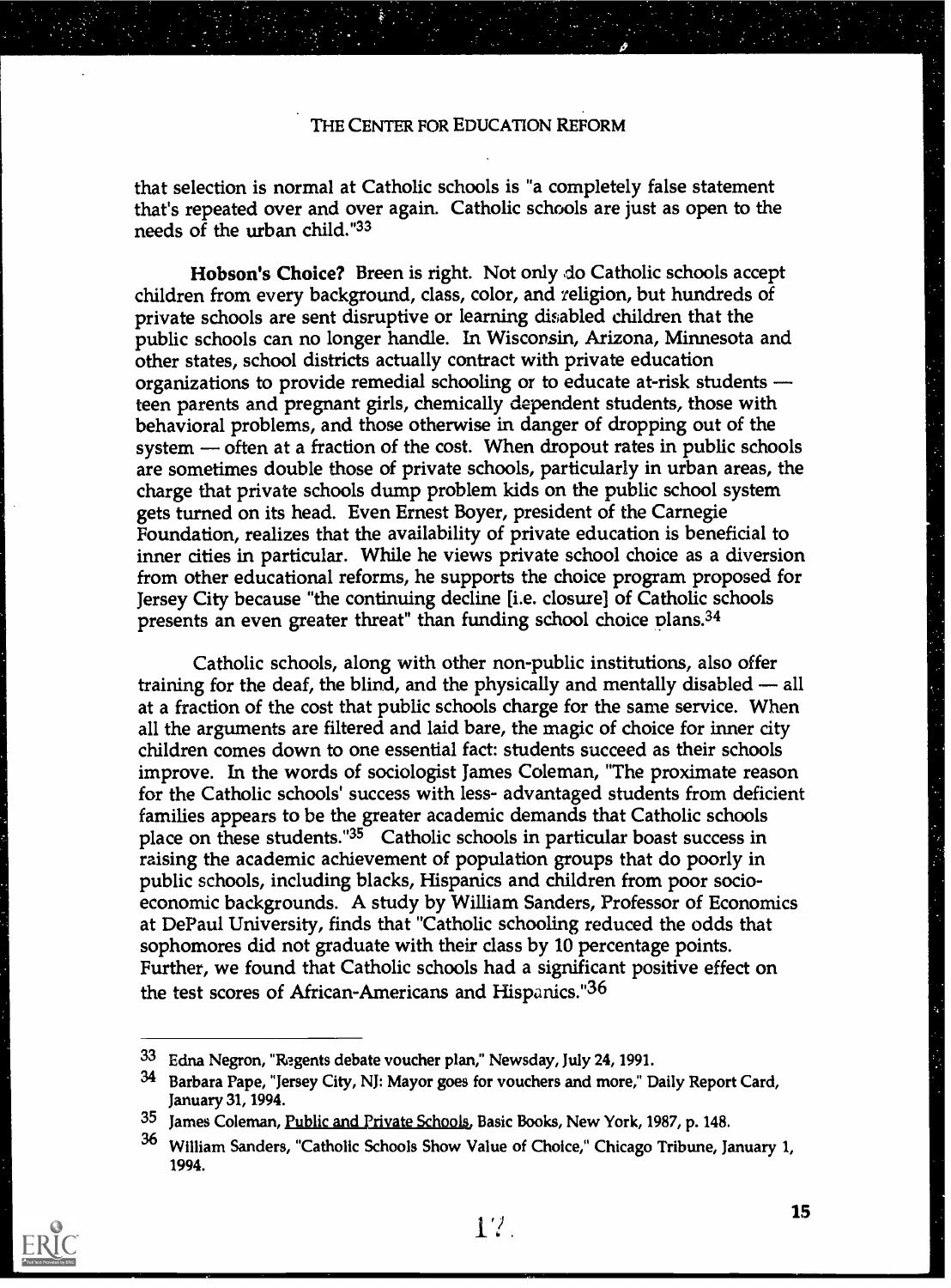that selection is normal at Catholic schools is "a completely false statement that's repeated over and over again. Catholic schools are just as open to the needs of the urban child."33

Hobson's Choice? Breen is right. Not only do Catholic schools accept children from every background, class, color, and religion, but hundreds of private schools are sent disruptive or learning disabled children that the public schools can no longer handle. In Wisconsin, Arizona, Minnesota and other states, school districts actually contract with private education organizations to provide remedial schooling or to educate at-risk students teen parents and pregnant girls, chemically dependent students, those with behavioral problems, and those otherwise in danger of dropping out of the system  $-$  often at a fraction of the cost. When dropout rates in public schools are sometimes double those of private schools, particularly in urban areas, the charge that private schools dump problem kids on the public school system gets turned on its head. Even Ernest Boyer, president of the Carnegie Foundation, realizes that the availability of private education is beneficial to inner cities in particular. While he views private school choice as a diversion from other educational reforms, he supports the choice program proposed for Jersey City because "the continuing decline [i.e. closure] of Catholic schools presents an even greater threat" than funding school choice plans.<sup>34</sup>

Catholic schools, along with other non-public institutions, also offer training for the deaf, the blind, and the physically and mentally disabled  $-$  all at a fraction of the cost that public schools charge for the same service. When all the arguments are filtered and laid bare, the magic of choice for inner city children comes down to one essential fact: students succeed as their schools improve. In the words of sociologist James Coleman, "The proximate reason for the Catholic schools' success with less- advantaged students from deficient families appears to be the greater academic demands that Catholic schools place on these students."35 Catholic schools in particular boast success in raising the academic achievement of population groups that do poorly in public schools, including blacks, Hispanics and children from poor socioeconomic backgrounds. A study by William Sanders, Professor of Economics at DePaul University, finds that "Catholic schooling reduced the odds that sophomores did not graduate with their dass by 10 percentage points. Further, we found that Catholic schools had a significant positive effect on the test scores of African-Americans and Hispanics."36

<sup>33</sup> Edna Negron, "Regents debate voucher plan," Newsday, July 24, 1991.

<sup>&</sup>lt;sup>34</sup> Barbara Pape, "Jersey City, NJ: Mayor goes for vouchers and more," Daily Report Card, January 31, 1994.

<sup>35</sup> James Coleman, Public and Private Schools, Basic Books, New York, 1987, p. 148.

<sup>36</sup> William Sanders, "Catholic Schools Show Value of Choice," Chicago Tribune, January 1, 1994.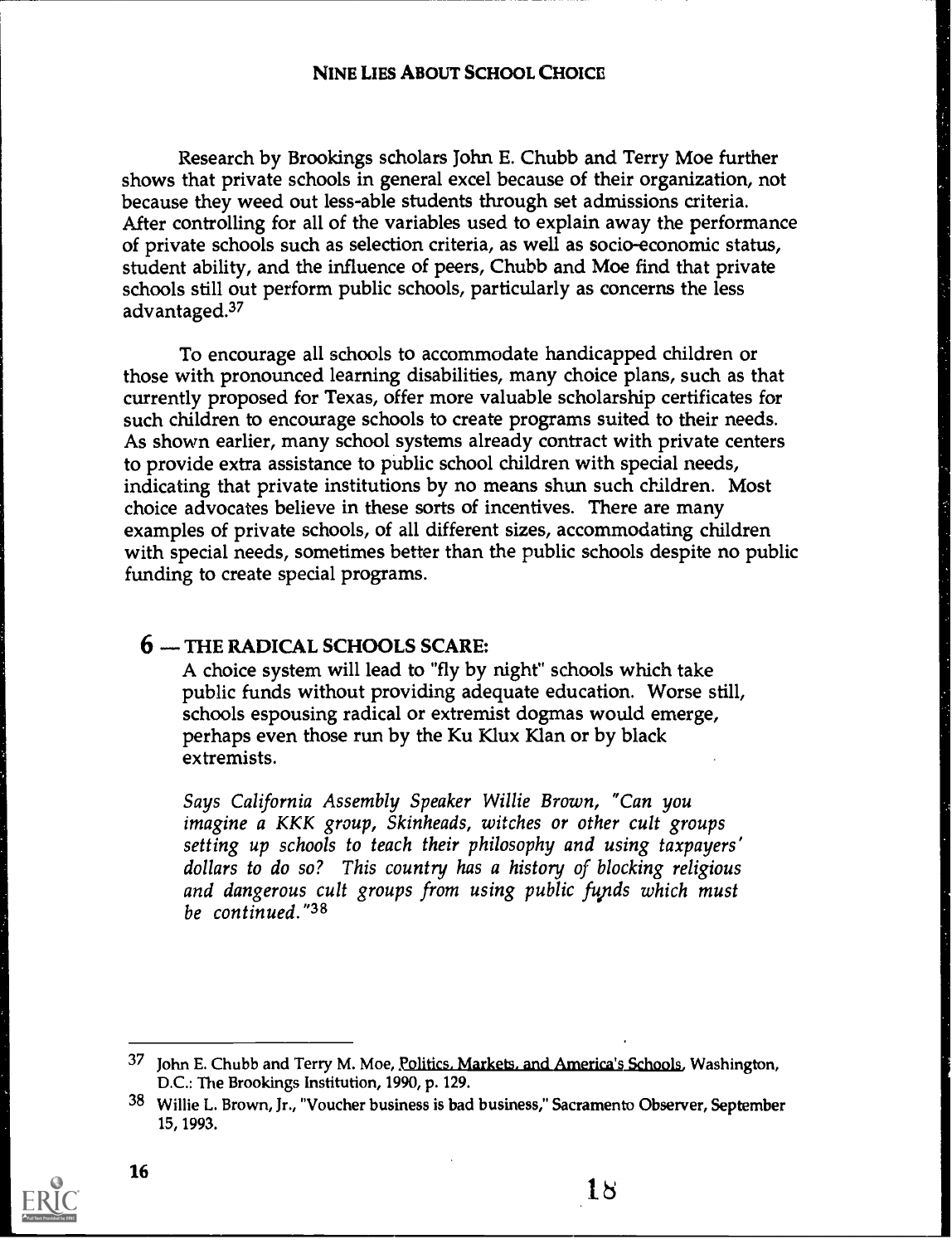Research by Brookings scholars John E. Chubb and Terry Moe further shows that private schools in general excel because of their organization, not because they weed out less-able students through set admissions criteria. After controlling for all of the variables used to explain away the performance of private schools such as selection criteria, as well as socio-economic status, student ability, and the influence of peers, Chubb and Moe find that private schools still out perform public schools, particularly as concerns the less advantaged.37

To encourage all schools to accommodate handicapped children or those with pronounced learning disabilities, many choice plans, such as that currently proposed for Texas, offer more valuable scholarship certificates for such children to encourage schools to create programs suited to their needs. As shown earlier, many school systems already contract with private centers to provide extra assistance to public school children with special needs, indicating that private institutions by no means shun such children. Most choice advocates believe in these sorts of incentives. There are many examples of private schools, of all different sizes, accommodating children with special needs, sometimes better than the public schools despite no public funding to create special programs.

#### $6-$  THE RADICAL SCHOOLS SCARE:

A choice system will lead to "fly by night" schools which take public funds without providing adequate education. Worse still, schools espousing radical or extremist dogmas would emerge, perhaps even those run by the Ku Klux Klan or by black extremists.

Says California Assembly Speaker Willie Brown, "Can you imagine a KKK group, Skinheads, witches or other cult groups setting up schools to teach their philosophy and using taxpayers' dollars to do so? This country has a history of blocking religious and dangerous cult groups from using public fupds which must be continued."<sup>38</sup>

16

 $18 \,$ 

<sup>&</sup>lt;sup>37</sup> John E. Chubb and Terry M. Moe, *Politics. Markets. and America's Schools*, Washington, D.C.: The Brookings Institution, 1990, p. 129.

<sup>&</sup>lt;sup>38</sup> Willie L. Brown, Jr., "Voucher business is bad business," Sacramento Observer, September 15, 1993.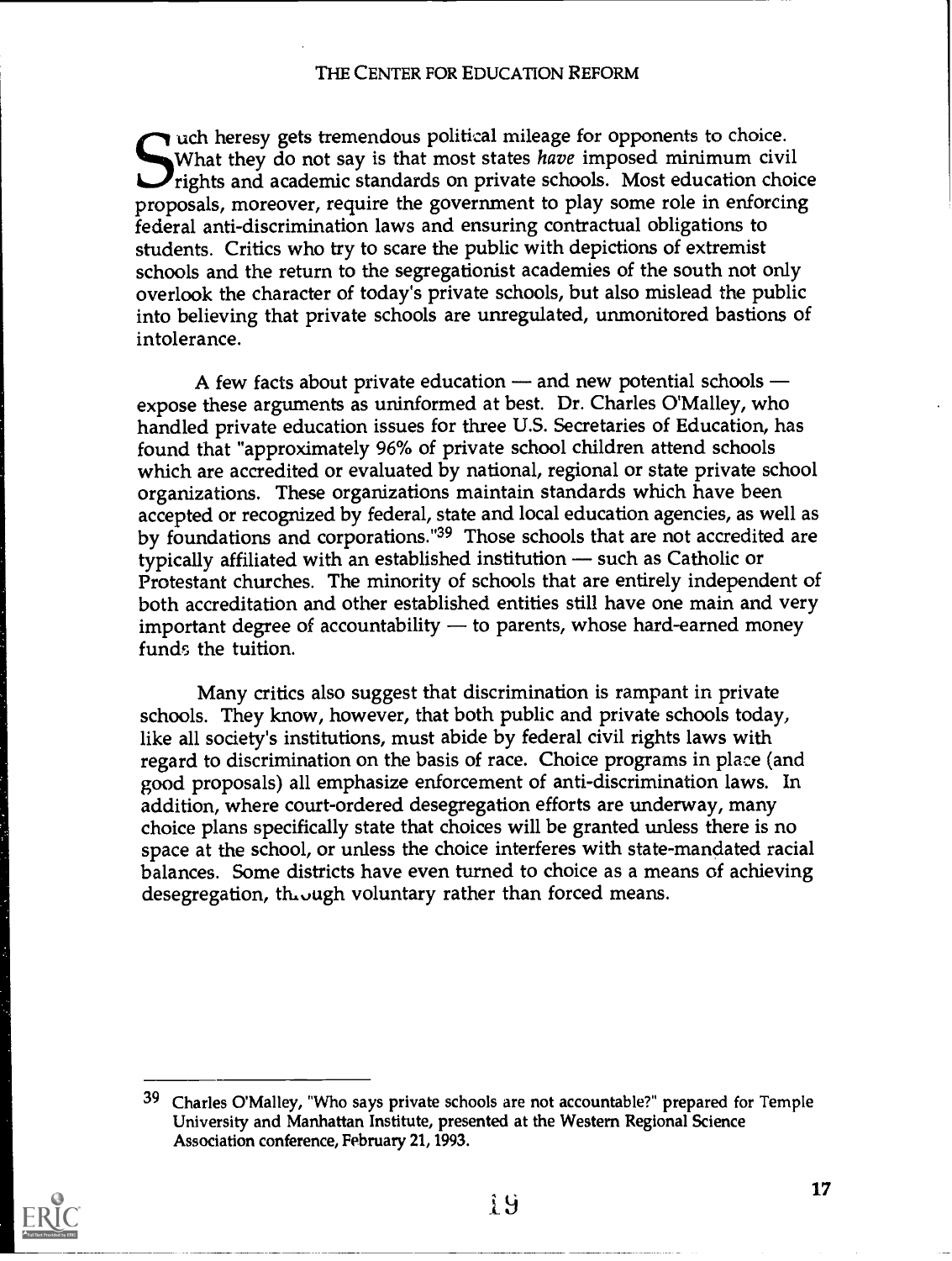Tuch heresy gets tremendous political mileage for opponents to choice. What they do not say is that most states have imposed minimum civil **This and academic standards on private schools.** Most education choice proposals, moreover, require the government to play some role in enforcing federal anti-discrimination laws and ensuring contractual obligations to students. Critics who try to scare the public with depictions of extremist schools and the return to the segregationist academies of the south not only overlook the character of today's private schools, but also mislead the public into believing that private schools are unregulated, unmonitored bastions of intolerance.

A few facts about private education  $-$  and new potential schools  $$ expose these arguments as uninformed at best. Dr. Charles O'Malley, who handled private education issues for three U.S. Secretaries of Education, has found that "approximately 96% of private school children attend schools which are accredited or evaluated by national, regional or state private school organizations. These organizations maintain standards which have been accepted or recognized by federal, state and local education agencies, as well as by foundations and corporations."39 Those schools that are not accredited are typically affiliated with an established institution  $-$  such as Catholic or Protestant churches. The minority of schools that are entirely independent of both accreditation and other established entities still have one main and very important degree of accountability  $-$  to parents, whose hard-earned money funds the tuition.

Many critics also suggest that discrimination is rampant in private schools. They know, however, that both public and private schools today, like all society's institutions, must abide by federal civil rights laws with regard to discrimination on the basis of race. Choice programs in place (and good proposals) all emphasize enforcement of anti-discrimination laws. In addition, where court-ordered desegregation efforts are underway, many choice plans specifically state that choices will be granted unless there is no space at the school, or unless the choice interferes with state-mandated racial balances. Some districts have even turned to choice as a means of achieving desegregation, though voluntary rather than forced means.



<sup>39</sup> Charles O'Malley, "Who says private schools are not accountable?" prepared for Temple University and Manhattan Institute, presented at the Western Regional Science Association conference, February 21, 1993.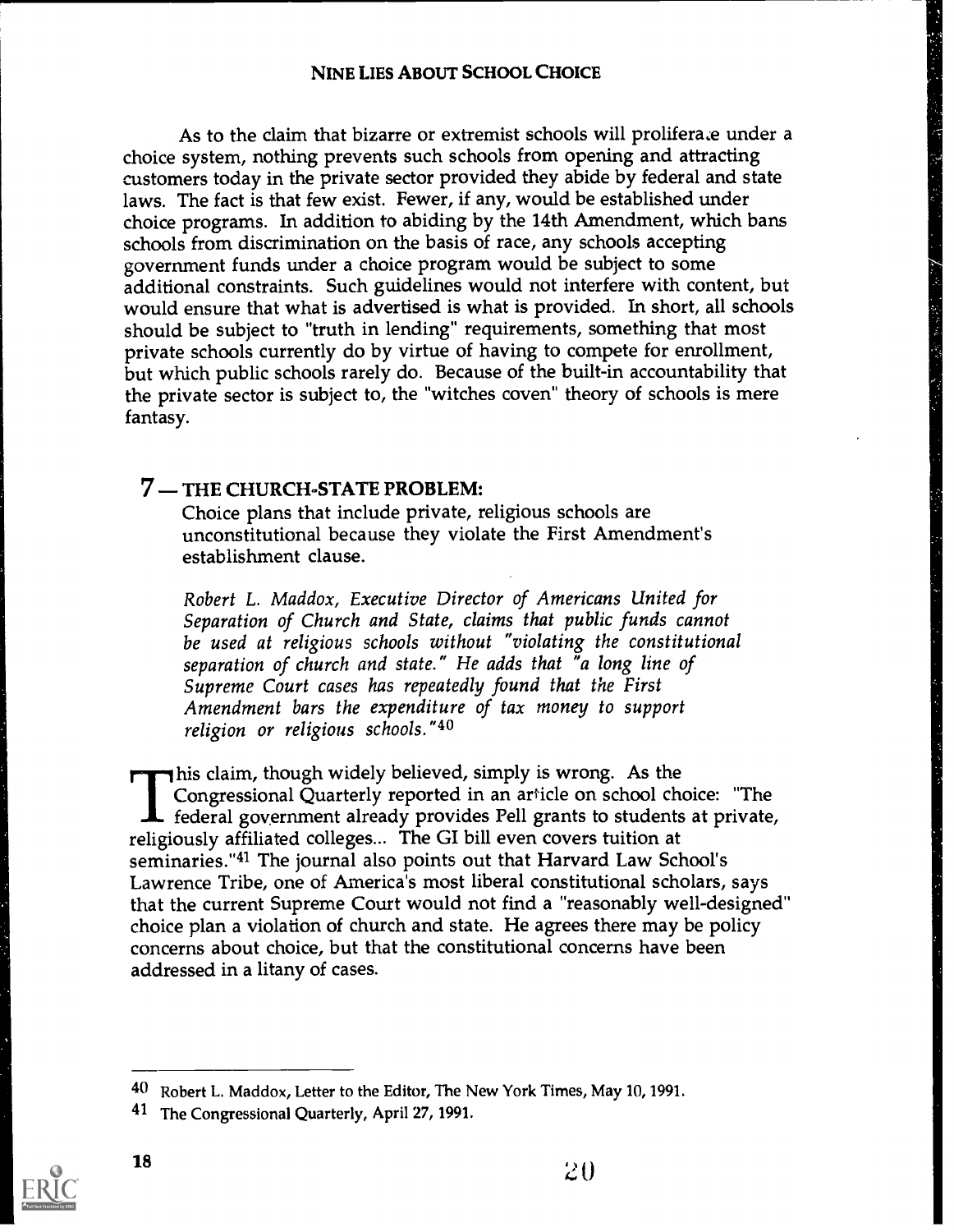As to the claim that bizarre or extremist schools will proliferaze under a choice system, nothing prevents such schools from opening and attracting customers today in the private sector provided they abide by federal and state laws. The fact is that few exist. Fewer, if any, would be established under choice programs. In addition to abiding by the 14th Amendment, which bans schools from discrimination on the basis of race, any schools accepting government funds under a choice program would be subject to some additional constraints. Such guidelines would not interfere with content, but would ensure that what is advertised is what is provided. In short, all schools should be subject to "truth in lending" requirements, something that most private schools currently do by virtue of having to compete for enrollment, but which public schools rarely do. Because of the built-in accountability that the private sector is subject to, the "witches coven" theory of schools is mere fantasy.

1 k.a

# 7 — THE CHURCH-STATE PROBLEM:

Choice plans that include private, religious schools are unconstitutional because they violate the First Amendment's establishment clause.

Robert L. Maddox, Executive Director of Americans United for Separation of Church and State, claims that public funds cannot be used at religious schools without "violating the constitutional separation of church and state." He adds that "a long line of Supreme Court cases has repeatedly found that the First Amendment bars the expenditure of tax money to support religion or religious schools."40

 $\blacktriangleright$  his claim, though widely believed, simply is wrong. As the Congressional Quarterly reported in an article on school choice: "The federal government already provides Pell grants to students at private, religiously affiliated colleges... The GI bill even covers tuition at seminaries."41 The journal also points out that Harvard Law School's Lawrence Tribe, one of America's most liberal constitutional scholars, says that the current Supreme Court would not find a "reasonably well-designed" choice plan a violation of church and state. He agrees there may be policy concerns about choice, but that the constitutional concerns have been addressed in a litany of cases.

<sup>&</sup>lt;sup>41</sup> The Congressional Quarterly, April 27, 1991.



<sup>40</sup> Robert L. Maddox, Letter to the Editor, The New York Times, May 10, 1991.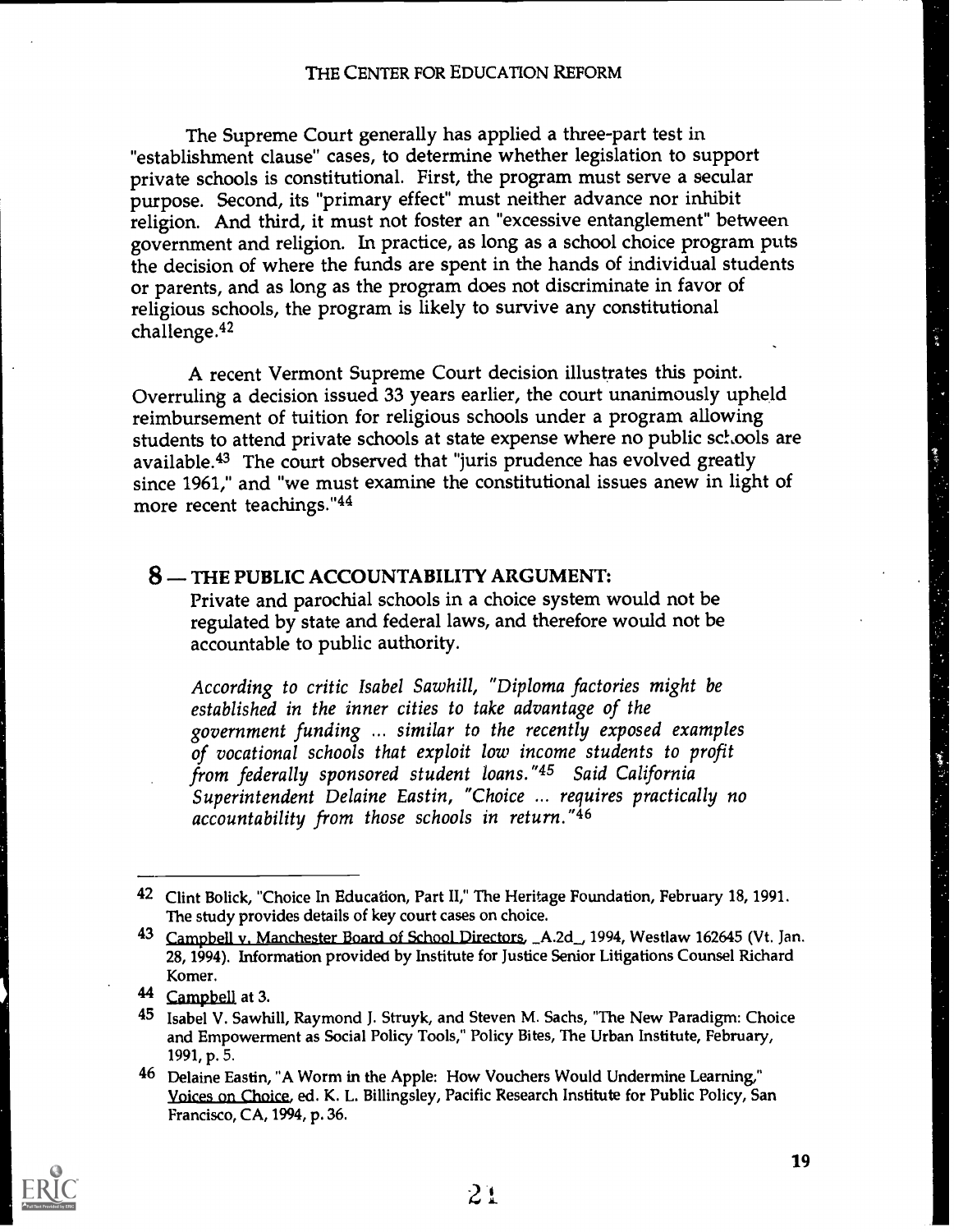The Supreme Court generally has applied a three-part test in "establishment clause" cases, to determine whether legislation to support private schools is constitutional. First, the program must serve a secular purpose. Second, its "primary effect" must neither advance nor inhibit religion. And third, it must not foster an "excessive entanglement" between government and religion. In practice, as long as a school choice program puts the decision of where the funds are spent in the hands of individual students or parents, and as long as the program does not discriminate in favor of religious schools, the program is likely to survive any constitutional challenge.42

A recent Vermont Supreme Court decision illustrates this point. Overruling a decision issued 33 years earlier, the court unanimously upheld reimbursement of tuition for religious schools under a program allowing students to attend private schools at state expense where no public schools are available.43 The court observed that "juris prudence has evolved greatly since 1961," and "we must examine the constitutional issues anew in light of more recent teachings."44

#### 8 - THE PUBLIC ACCOUNTABILITY ARGUMENT:

Private and parochial schools in a choice system would not be regulated by state and federal laws, and therefore would not be accountable to public authority.

According to critic Isabel Sawhill, "Diploma factories might be established in the inner cities to take advantage of the government funding ... similar to the recently exposed examples of vocational schools that exploit low income students to profit from federally sponsored student loans."45 Said California Superintendent Delaine Eastin, "Choice ... requires practically no accountability from those schools in return."46



<sup>42</sup> Clint Bolick, "Choice In Education, Part II," The Heritage Foundation, February 18, 1991. The study provides details of key court cases on choice.

<sup>43</sup> Campbell v. Manchester Board of School Directors, A.2d<sub>n</sub>, 1994, Westlaw 162645 (Vt. Jan. 28, 1994). Information provided by Institute for Justice Senior Litigations Counsel Richard Komer.

<sup>44</sup> Campbell at 3.

<sup>45</sup> Isabel V. Sawhill, Raymond J. Struyk, and Steven M. Sachs, "The New Paradigm: Choice and Empowerment as Social Policy Tools," Policy Bites, The Urban Institute, February, 1991, p. 5.

<sup>46</sup> Delaine Eastin, "A Worm in the Apple: How Vouchers Would Undermine Learning," Yoices on Choice, ed. K. L. Billingsley, Pacific Research Institute for Public Policy, San Francisco, CA, 1994, p. 36.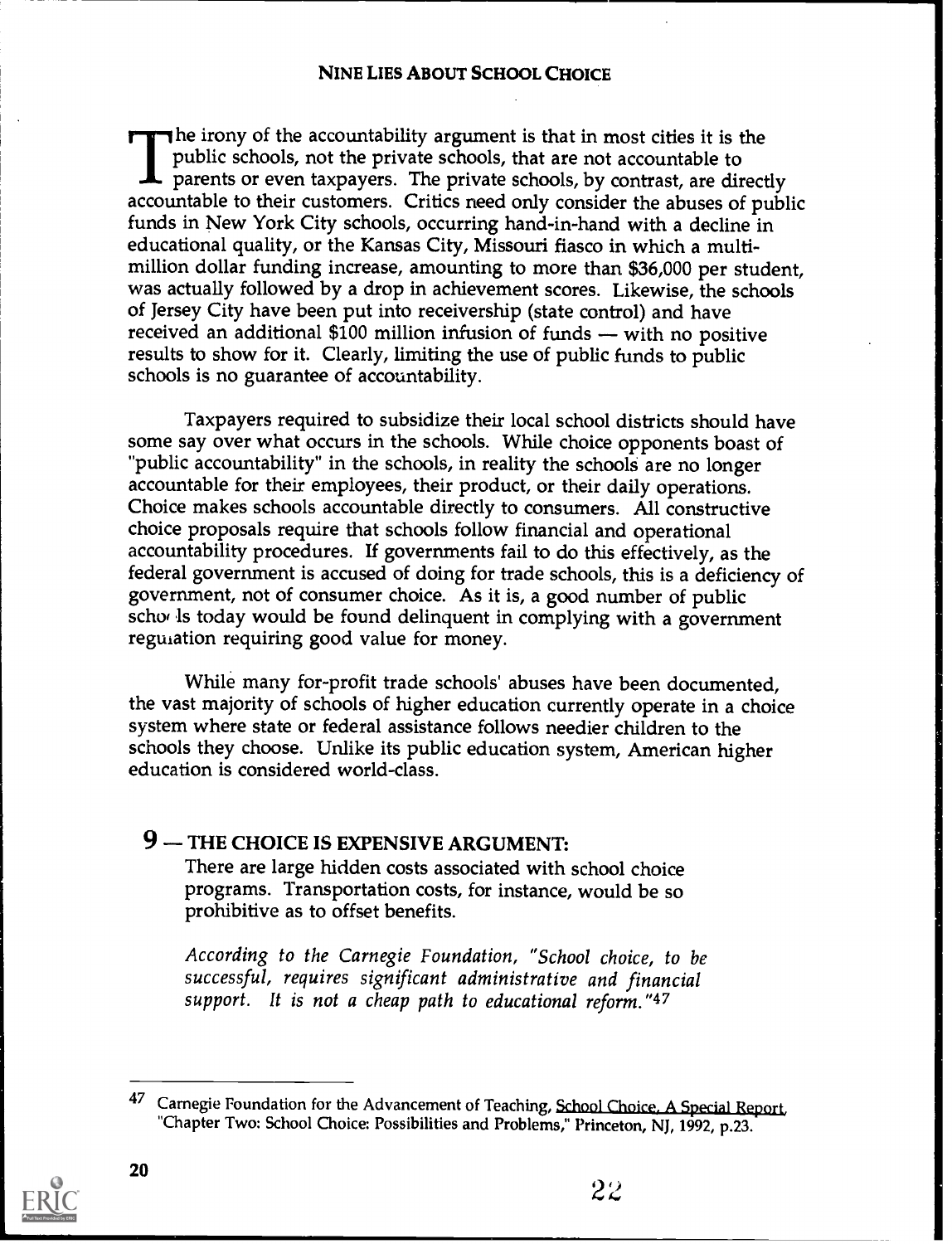$\exists$  he irony of the accountability argument is that in most cities it is the public schools, not the private schools, that are not accountable to parents or even taxpayers. The private schools, by contrast, are directly accountable to their customers. Critics need only consider the abuses of public funds in New York City schools, occurring hand-in-hand with a decline in educational quality, or the Kansas City, Missouri fiasco in which a multimillion dollar funding increase, amounting to more than \$36,000 per student, was actually followed by a drop in achievement scores. Likewise, the schools of Jersey City have been put into receivership (state control) and have received an additional  $$100$  million infusion of funds - with no positive results to show for it. Clearly, limiting the use of public funds to public schools is no guarantee of accountability.

Taxpayers required to subsidize their local school districts should have some say over what occurs in the schools. While choice opponents boast of "public accountability" in the schools, in reality the schools are no longer accountable for their employees, their product, or their daily operations. Choice makes schools accountable directly to consumers. All constructive choice proposals require that schools follow financial and operational accountability procedures. If governments fail to do this effectively, as the federal government is accused of doing for trade schools, this is a deficiency of government, not of consumer choice. As it is, a good number of public scho, Is today would be found delinquent in complying with a government reguiation requiring good value for money.

While many for-profit trade schools' abuses have been documented, the vast majority of schools of higher education currently operate in a choice system where state or federal assistance follows needier children to the schools they choose. Unlike its public education system, American higher education is considered world-class.

# 9 - THE CHOICE IS EXPENSIVE ARGUMENT:

There are large hidden costs associated with school choice programs. Transportation costs, for instance, would be so prohibitive as to offset benefits.

According to the Carnegie Foundation, "School choice, to be successful, requires significant administrative and financial support. It is not a cheap path to educational reform."47

<sup>47</sup> Carnegie Foundation for the Advancement of Teaching, School Choice, A Special Report, "Chapter Two: School Choice: Possibilities and Problems," Princeton, NJ, 1992, p.23.

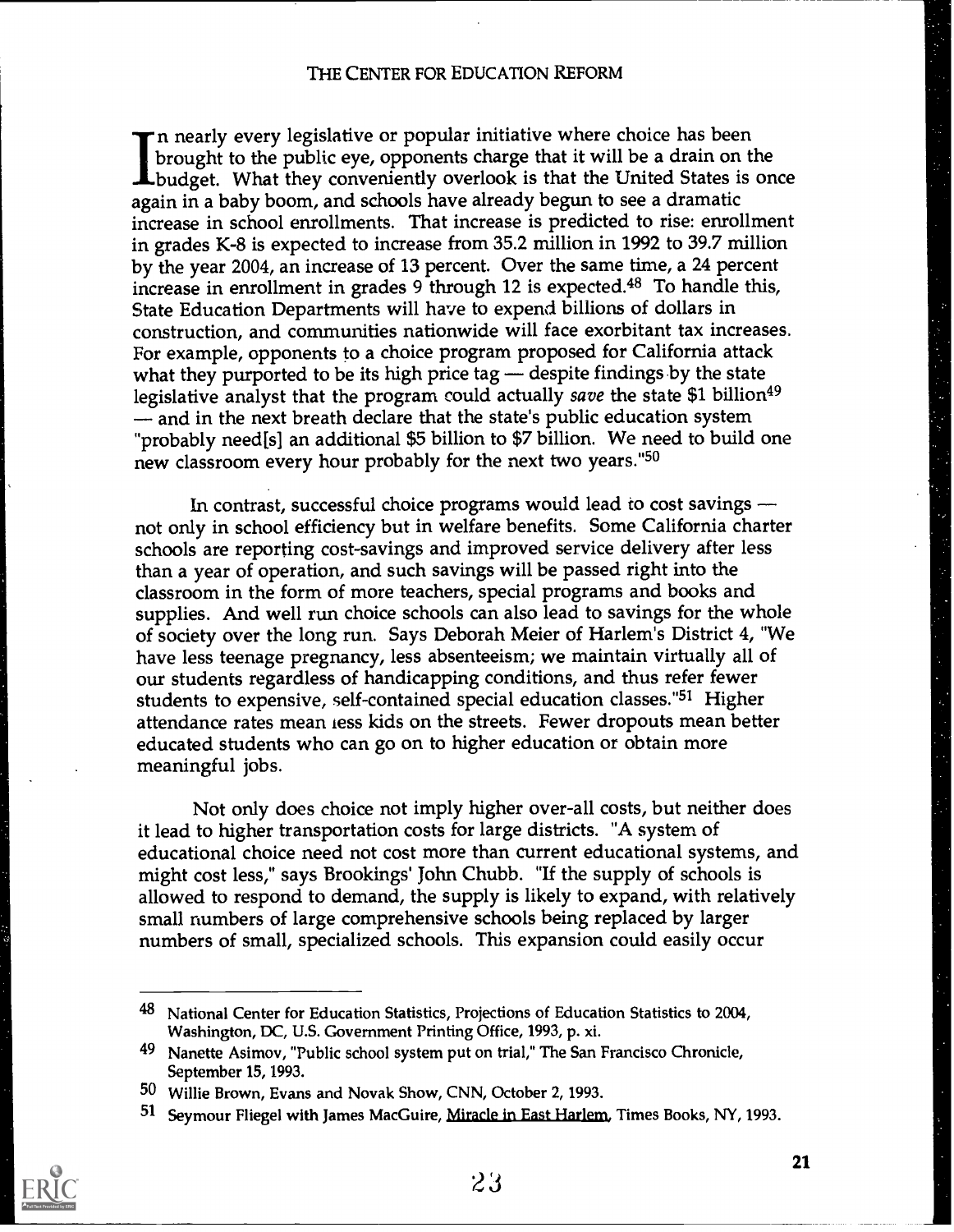In nearly every legislative or popular initiative where choice has been brought to the public eye, opponents charge that it will be a drain on the budget. What they conveniently overlook is that the United States is once again in a baby boom, and schools have already begun to see a dramatic increase in school enrollments. That increase is predicted to rise: enrollment in grades K-8 is expected to increase from 35.2 million in 1992 to 39.7 million by the year 2004, an increase of 13 percent. Over the same time, a 24 percent increase in enrollment in grades 9 through 12 is expected.48 To handle this, State Education Departments will have to expend billions of dollars in construction, and communities nationwide will face exorbitant tax increases. For example, opponents to a choice program proposed for California attack what they purported to be its high price tag — despite findings by the state legislative analyst that the program could actually save the state \$1 billion<sup>49</sup> and in the next breath declare that the state's public education system "probably need[s] an additional \$5 billion to \$7 billion. We need to build one new classroom every hour probably for the next two years."<sup>50</sup>

In contrast, successful choice programs would lead to cost savings not only in school efficiency but in welfare benefits. Some California charter schools are reporting cost-savings and improved service delivery after less than a year of operation, and such savings will be passed right into the classroom in the form of more teachers, special programs and books and supplies. And well run choice schools can also lead to savings for the whole of society over the long run. Says Deborah Meier of Harlem's District 4, "We have less teenage pregnancy, less absenteeism; we maintain virtually all of our students regardless of handicapping conditions, and thus refer fewer students to expensive, self-contained special education classes."51 Higher attendance rates mean tess kids on the streets. Fewer dropouts mean better educated students who can go on to higher education or obtain more meaningful jobs.

Not only does choice not imply higher over-all costs, but neither does it lead to higher transportation costs for large districts. "A system of educational choice need not cost more than current educational systems, and might cost less," says Brookings' John Chubb. "If the supply of schools is allowed to respond to demand, the supply is likely to expand, with relatively small numbers of large comprehensive schools being replaced by larger numbers of small, specialized schools. This expansion could easily occur



<sup>48</sup> National Center for Education Statistics, Projections of Education Statistics to 2004, Washington, DC, U.S. Government Printing Office, 1993, P. xi.

<sup>49</sup> Nanette Asimov, "Public school system put on trial," The San Francisco Chronicle, September 15, 1993.

<sup>50</sup> Willie Brown, Evans and Novak Show, CNN, October 2, 1993.

<sup>51</sup> Seymour Fliegel with James MacGuire, Miracle in East Harlem, Times Books, NY, 1993.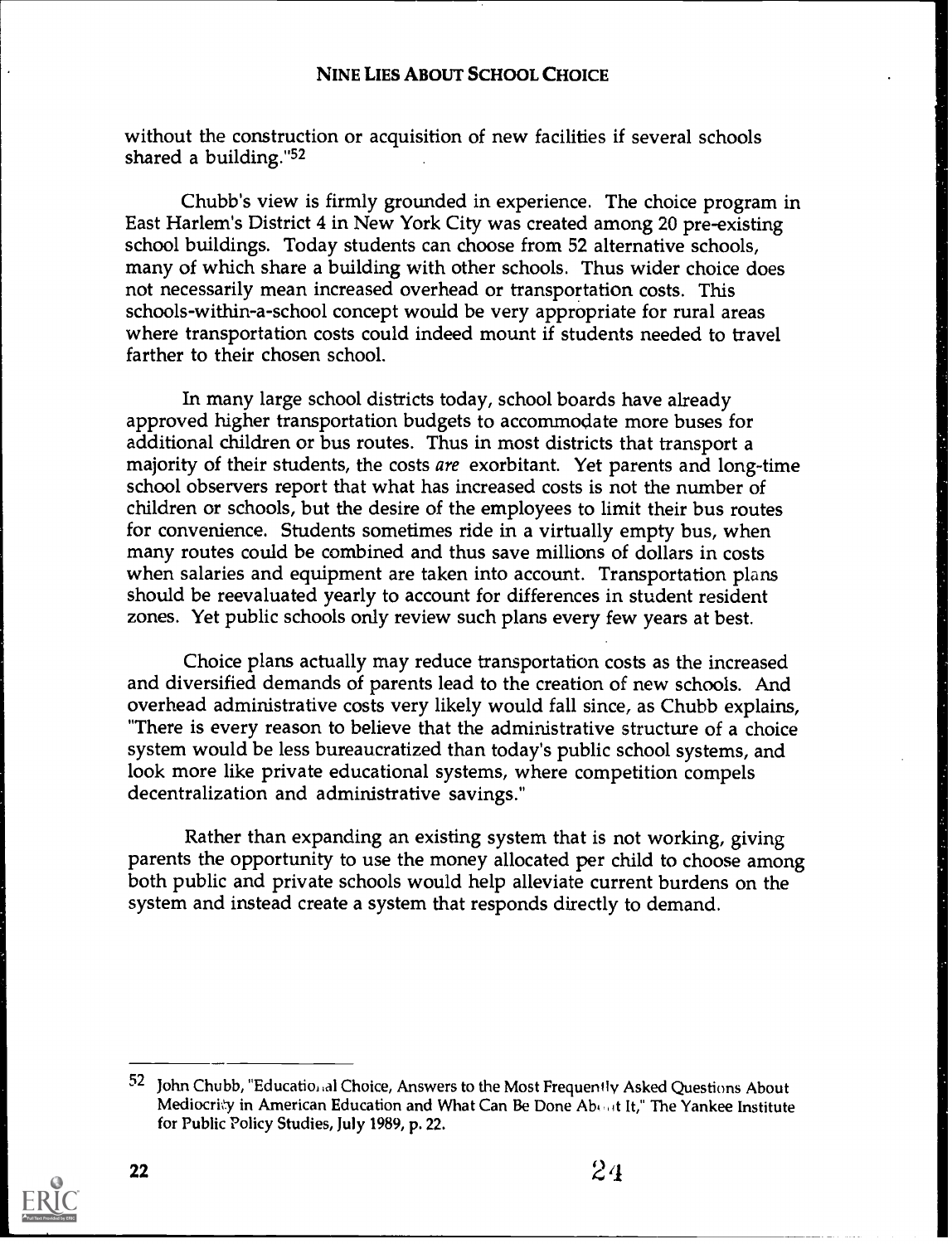without the construction or acquisition of new facilities if several schools shared a building."52

Chubb's view is firmly grounded in experience. The choice program in East Harlem's District 4 in New York City was created among 20 pre-existing school buildings. Today students can choose from 52 alternative schools, many of which share a building with other schools. Thus wider choice does not necessarily mean increased overhead or transportation costs. This schools-within-a-school concept would be very appropriate for rural areas where transportation costs could indeed mount if students needed to travel farther to their chosen school.

In many large school districts today, school boards have already approved higher transportation budgets to accommodate more buses for additional children or bus routes. Thus in most districts that transport a majority of their students, the costs are exorbitant. Yet parents and long-time school observers report that what has increased costs is not the number of children or schools, but the desire of the employees to limit their bus routes for convenience. Students sometimes ride in a virtually empty bus, when many routes could be combined and thus save millions of dollars in costs when salaries and equipment are taken into account. Transportation plans should be reevaluated yearly to account for differences in student resident zones. Yet public schools only review such plans every few years at best.

Choice plans actually may reduce transportation costs as the increased and diversified demands of parents lead to the creation of new schools. And overhead administrative costs very likely would fall since, as Chubb explains, "There is every reason to believe that the administrative structure of a choice system would be less bureaucratized than today's public school systems, and look more like private educational systems, where competition compels decentralization and administrative savings."

Rather than expanding an existing system that is not working, giving parents the opportunity to use the money allocated per child to choose among both public and private schools would help alleviate current burdens on the system and instead create a system that responds directly to demand.

 $52$  John Chubb, "Educatio, al Choice, Answers to the Most Frequently Asked Questions About Mediocrity in American Education and What Can Be Done About It," The Yankee Institute for Public Policy Studies, July 1989, p. 22.



22  $24$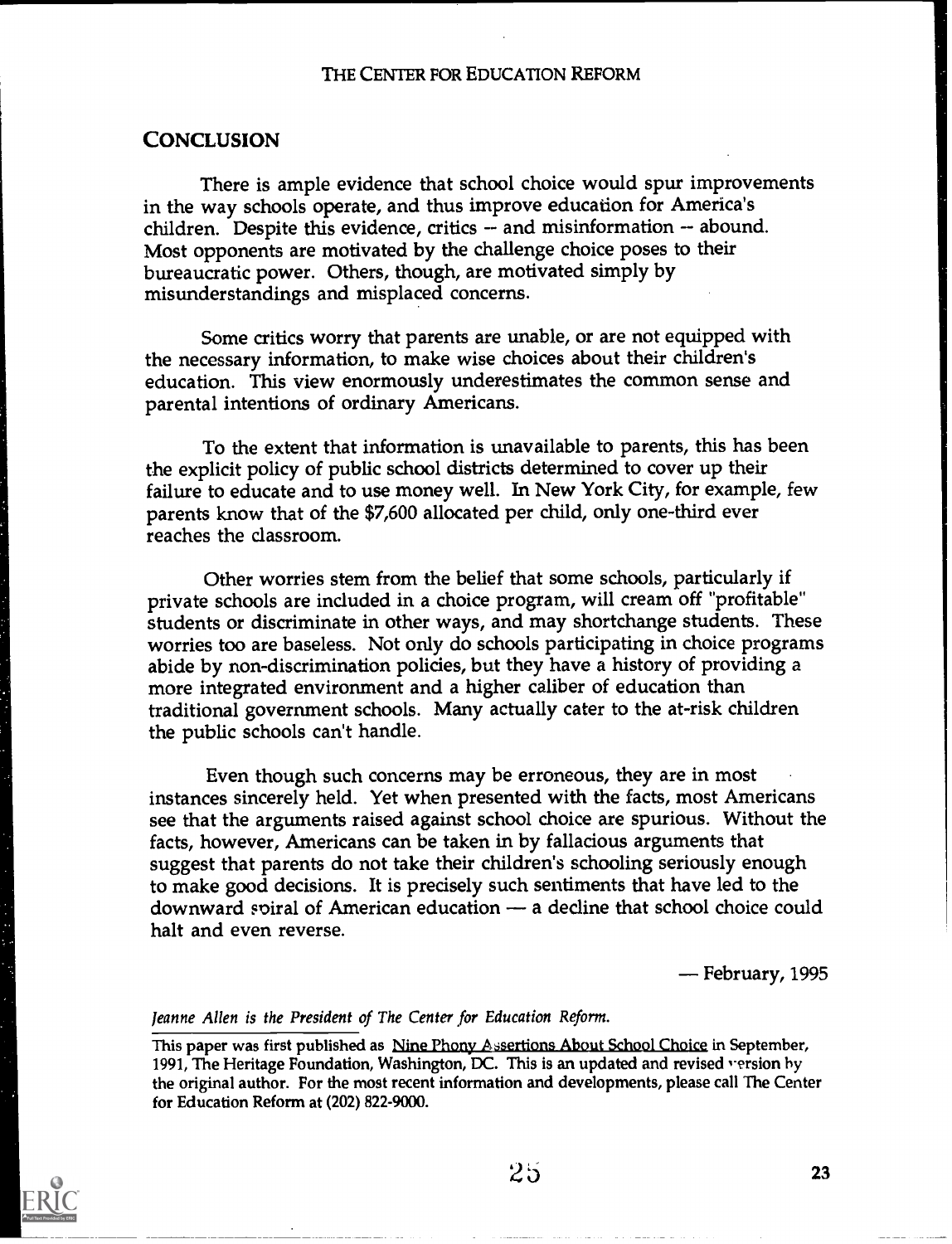#### **CONCLUSION**

There is ample evidence that school choice would spur improvements in the way schools operate, and thus improve education for America's children. Despite this evidence, critics  $-$  and misinformation  $-$  abound. Most opponents are motivated by the challenge choice poses to their bureaucratic power. Others, though, are motivated simply by misunderstandings and misplaced concerns.

Some critics worry that parents are unable, or are not equipped with the necessary information, to make wise choices about their children's education. This view enormously underestimates the common sense and parental intentions of ordinary Americans.

To the extent that information is unavailable to parents, this has been the explicit policy of public school districts determined to cover up their failure to educate and to use money well. In New York City, for example, few parents know that of the \$7,600 allocated per child, only one-third ever reaches the classroom.

Other worries stem from the belief that some schools, particularly if private schools are included in a choice program, will cream off "profitable" students or discriminate in other ways, and may shortchange students. These worries too are baseless. Not only do schools participating in choice programs abide by non-discrimination policies, but they have a history of providing a more integrated environment and a higher caliber of education than traditional government schools. Many actually cater to the at-risk children the public schools can't handle.

Even though such concerns may be erroneous, they are in most instances sincerely held. Yet when presented with the facts, most Americans see that the arguments raised against school choice are spurious. Without the facts, however, Americans can be taken in by fallacious arguments that suggest that parents do not take their children's schooling seriously enough to make good decisions. It is precisely such sentiments that have led to the downward spiral of American education — a decline that school choice could halt and even reverse.

— February, 1995

#### Jeanne Allen is the President of The Center for Education Reform.

This paper was first published as Nine Phony Assertions About School Choice in September, 1991, The Heritage Foundation, Washington, DC. This is an updated and revised version by the original author. For the most recent information and developments, please call The Center for Education Reform at (202) 822-9000.